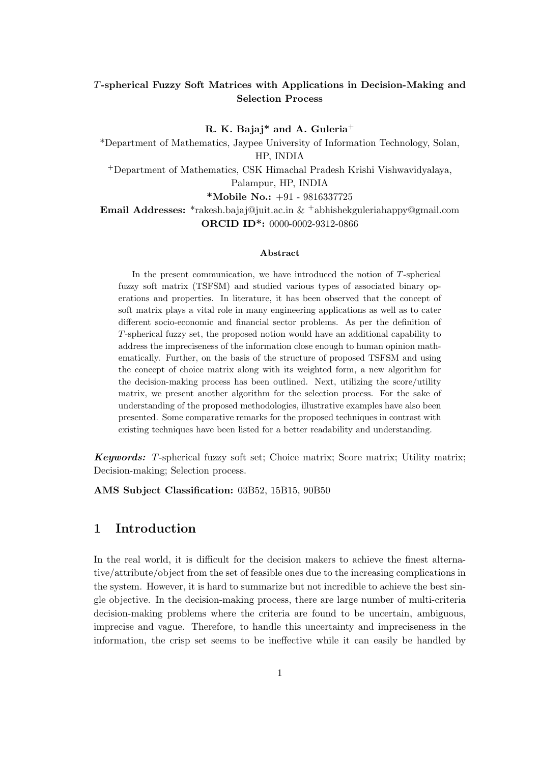## *T***-spherical Fuzzy Soft Matrices with Applications in Decision-Making and Selection Process**

**R. K. Bajaj\* and A. Guleria**<sup>+</sup> \*Department of Mathematics, Jaypee University of Information Technology, Solan, HP, INDIA <sup>+</sup>Department of Mathematics, CSK Himachal Pradesh Krishi Vishwavidyalaya, Palampur, HP, INDIA

**\*Mobile No.:** +91 - 9816337725

### **Email Addresses:** \*rakesh.bajaj@juit.ac.in & +abhishekguleriahappy@gmail.com **ORCID ID\*:** 0000-0002-9312-0866

### **Abstract**

In the present communication, we have introduced the notion of *T*-spherical fuzzy soft matrix (TSFSM) and studied various types of associated binary operations and properties. In literature, it has been observed that the concept of soft matrix plays a vital role in many engineering applications as well as to cater different socio-economic and financial sector problems. As per the definition of *T*-spherical fuzzy set, the proposed notion would have an additional capability to address the impreciseness of the information close enough to human opinion mathematically. Further, on the basis of the structure of proposed TSFSM and using the concept of choice matrix along with its weighted form, a new algorithm for the decision-making process has been outlined. Next, utilizing the score/utility matrix, we present another algorithm for the selection process. For the sake of understanding of the proposed methodologies, illustrative examples have also been presented. Some comparative remarks for the proposed techniques in contrast with existing techniques have been listed for a better readability and understanding.

*Keywords: T*-spherical fuzzy soft set; Choice matrix; Score matrix; Utility matrix; Decision-making; Selection process.

**AMS Subject Classification:** 03B52, 15B15, 90B50

## **1 Introduction**

In the real world, it is difficult for the decision makers to achieve the finest alternative/attribute/object from the set of feasible ones due to the increasing complications in the system. However, it is hard to summarize but not incredible to achieve the best single objective. In the decision-making process, there are large number of multi-criteria decision-making problems where the criteria are found to be uncertain, ambiguous, imprecise and vague. Therefore, to handle this uncertainty and impreciseness in the information, the crisp set seems to be ineffective while it can easily be handled by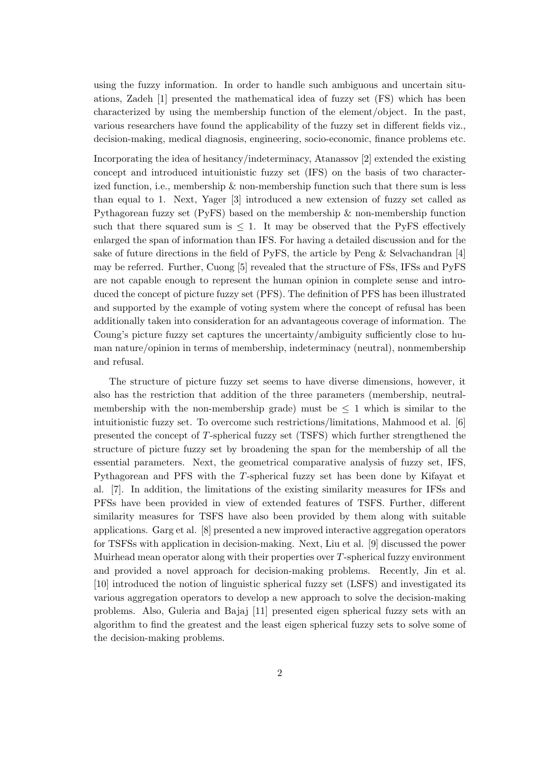using the fuzzy information. In order to handle such ambiguous and uncertain situations, Zadeh [1] presented the mathematical idea of fuzzy set (FS) which has been characterized by using the membership function of the element/object. In the past, various researchers have found the applicability of the fuzzy set in different fields viz., decision-making, medical diagnosis, engineering, socio-economic, finance problems etc.

Incorporating the idea of hesitancy/indeterminacy, Atanassov [2] extended the existing concept and introduced intuitionistic fuzzy set (IFS) on the basis of two characterized function, i.e., membership  $\&$  non-membership function such that there sum is less than equal to 1. Next, Yager [3] introduced a new extension of fuzzy set called as Pythagorean fuzzy set (PyFS) based on the membership  $\&$  non-membership function such that there squared sum is  $\leq 1$ . It may be observed that the PyFS effectively enlarged the span of information than IFS. For having a detailed discussion and for the sake of future directions in the field of PyFS, the article by Peng  $\&$  Selvachandran [4] may be referred. Further, Cuong [5] revealed that the structure of FSs, IFSs and PyFS are not capable enough to represent the human opinion in complete sense and introduced the concept of picture fuzzy set (PFS). The definition of PFS has been illustrated and supported by the example of voting system where the concept of refusal has been additionally taken into consideration for an advantageous coverage of information. The Coung's picture fuzzy set captures the uncertainty/ambiguity sufficiently close to human nature/opinion in terms of membership, indeterminacy (neutral), nonmembership and refusal.

The structure of picture fuzzy set seems to have diverse dimensions, however, it also has the restriction that addition of the three parameters (membership, neutralmembership with the non-membership grade) must be  $\leq 1$  which is similar to the intuitionistic fuzzy set. To overcome such restrictions/limitations, Mahmood et al. [6] presented the concept of *T*-spherical fuzzy set (TSFS) which further strengthened the structure of picture fuzzy set by broadening the span for the membership of all the essential parameters. Next, the geometrical comparative analysis of fuzzy set, IFS, Pythagorean and PFS with the *T*-spherical fuzzy set has been done by Kifayat et al. [7]. In addition, the limitations of the existing similarity measures for IFSs and PFSs have been provided in view of extended features of TSFS. Further, different similarity measures for TSFS have also been provided by them along with suitable applications. Garg et al. [8] presented a new improved interactive aggregation operators for TSFSs with application in decision-making. Next, Liu et al. [9] discussed the power Muirhead mean operator along with their properties over *T*-spherical fuzzy environment and provided a novel approach for decision-making problems. Recently, Jin et al. [10] introduced the notion of linguistic spherical fuzzy set (LSFS) and investigated its various aggregation operators to develop a new approach to solve the decision-making problems. Also, Guleria and Bajaj [11] presented eigen spherical fuzzy sets with an algorithm to find the greatest and the least eigen spherical fuzzy sets to solve some of the decision-making problems.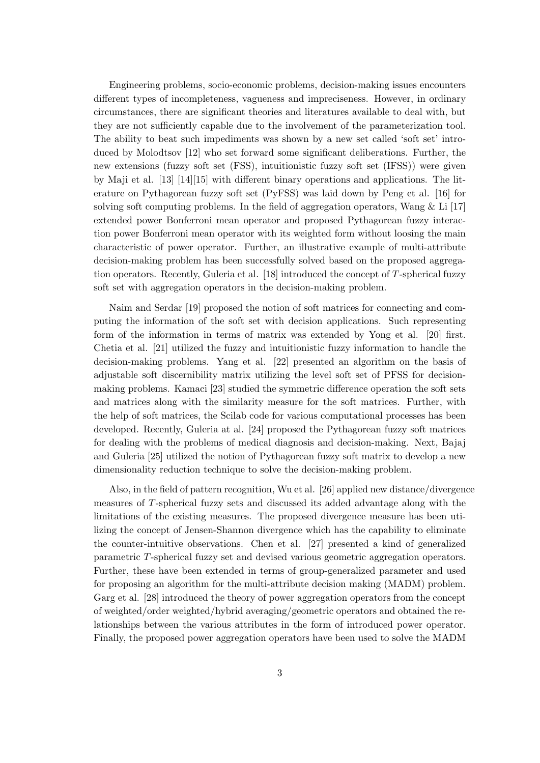Engineering problems, socio-economic problems, decision-making issues encounters different types of incompleteness, vagueness and impreciseness. However, in ordinary circumstances, there are significant theories and literatures available to deal with, but they are not sufficiently capable due to the involvement of the parameterization tool. The ability to beat such impediments was shown by a new set called 'soft set' introduced by Molodtsov [12] who set forward some significant deliberations. Further, the new extensions (fuzzy soft set (FSS), intuitionistic fuzzy soft set (IFSS)) were given by Maji et al. [13] [14][15] with different binary operations and applications. The literature on Pythagorean fuzzy soft set (PyFSS) was laid down by Peng et al. [16] for solving soft computing problems. In the field of aggregation operators, Wang  $&$  Li [17] extended power Bonferroni mean operator and proposed Pythagorean fuzzy interaction power Bonferroni mean operator with its weighted form without loosing the main characteristic of power operator. Further, an illustrative example of multi-attribute decision-making problem has been successfully solved based on the proposed aggregation operators. Recently, Guleria et al. [18] introduced the concept of *T*-spherical fuzzy soft set with aggregation operators in the decision-making problem.

Naim and Serdar [19] proposed the notion of soft matrices for connecting and computing the information of the soft set with decision applications. Such representing form of the information in terms of matrix was extended by Yong et al. [20] first. Chetia et al. [21] utilized the fuzzy and intuitionistic fuzzy information to handle the decision-making problems. Yang et al. [22] presented an algorithm on the basis of adjustable soft discernibility matrix utilizing the level soft set of PFSS for decisionmaking problems. Kamaci [23] studied the symmetric difference operation the soft sets and matrices along with the similarity measure for the soft matrices. Further, with the help of soft matrices, the Scilab code for various computational processes has been developed. Recently, Guleria at al. [24] proposed the Pythagorean fuzzy soft matrices for dealing with the problems of medical diagnosis and decision-making. Next, Bajaj and Guleria [25] utilized the notion of Pythagorean fuzzy soft matrix to develop a new dimensionality reduction technique to solve the decision-making problem.

Also, in the field of pattern recognition, Wu et al. [26] applied new distance/divergence measures of *T*-spherical fuzzy sets and discussed its added advantage along with the limitations of the existing measures. The proposed divergence measure has been utilizing the concept of Jensen-Shannon divergence which has the capability to eliminate the counter-intuitive observations. Chen et al. [27] presented a kind of generalized parametric *T*-spherical fuzzy set and devised various geometric aggregation operators. Further, these have been extended in terms of group-generalized parameter and used for proposing an algorithm for the multi-attribute decision making (MADM) problem. Garg et al. [28] introduced the theory of power aggregation operators from the concept of weighted/order weighted/hybrid averaging/geometric operators and obtained the relationships between the various attributes in the form of introduced power operator. Finally, the proposed power aggregation operators have been used to solve the MADM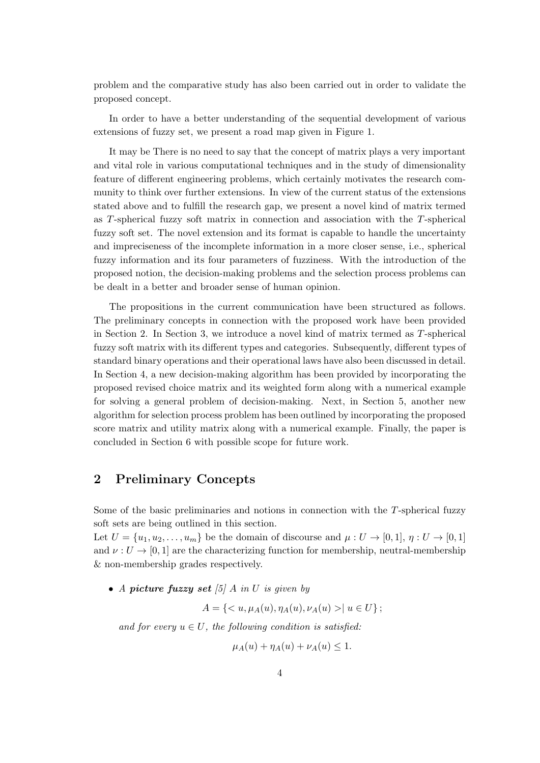problem and the comparative study has also been carried out in order to validate the proposed concept.

In order to have a better understanding of the sequential development of various extensions of fuzzy set, we present a road map given in Figure 1.

It may be There is no need to say that the concept of matrix plays a very important and vital role in various computational techniques and in the study of dimensionality feature of different engineering problems, which certainly motivates the research community to think over further extensions. In view of the current status of the extensions stated above and to fulfill the research gap, we present a novel kind of matrix termed as *T*-spherical fuzzy soft matrix in connection and association with the *T*-spherical fuzzy soft set. The novel extension and its format is capable to handle the uncertainty and impreciseness of the incomplete information in a more closer sense, i.e., spherical fuzzy information and its four parameters of fuzziness. With the introduction of the proposed notion, the decision-making problems and the selection process problems can be dealt in a better and broader sense of human opinion.

The propositions in the current communication have been structured as follows. The preliminary concepts in connection with the proposed work have been provided in Section 2. In Section 3, we introduce a novel kind of matrix termed as *T*-spherical fuzzy soft matrix with its different types and categories. Subsequently, different types of standard binary operations and their operational laws have also been discussed in detail. In Section 4, a new decision-making algorithm has been provided by incorporating the proposed revised choice matrix and its weighted form along with a numerical example for solving a general problem of decision-making. Next, in Section 5, another new algorithm for selection process problem has been outlined by incorporating the proposed score matrix and utility matrix along with a numerical example. Finally, the paper is concluded in Section 6 with possible scope for future work.

## **2 Preliminary Concepts**

Some of the basic preliminaries and notions in connection with the *T*-spherical fuzzy soft sets are being outlined in this section.

Let  $U = \{u_1, u_2, \ldots, u_m\}$  be the domain of discourse and  $\mu : U \to [0, 1], \eta : U \to [0, 1]$ and  $\nu : U \to [0, 1]$  are the characterizing function for membership, neutral-membership & non-membership grades respectively.

*• A picture fuzzy set [5] A in U is given by*

 $A = \{ \langle u, \mu_A(u), \eta_A(u), \nu_A(u) \rangle | u \in U \};$ 

*and for every*  $u \in U$ *, the following condition is satisfied:* 

$$
\mu_A(u) + \eta_A(u) + \nu_A(u) \le 1.
$$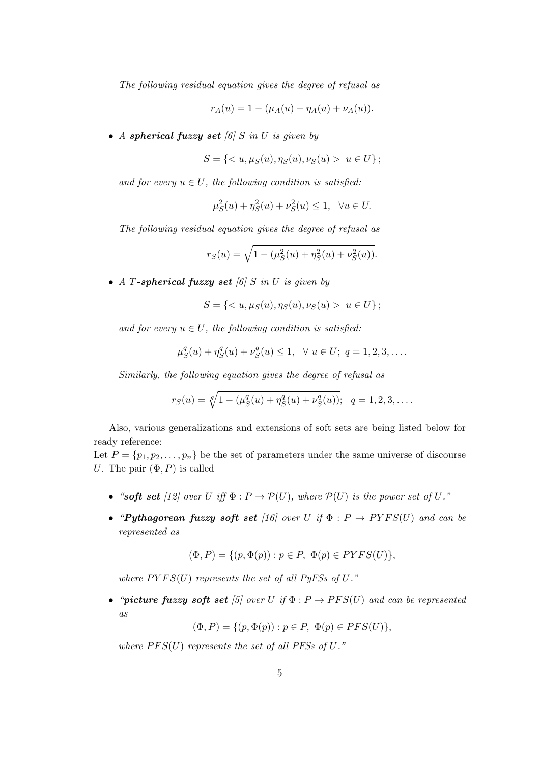*The following residual equation gives the degree of refusal as*

$$
r_A(u) = 1 - (\mu_A(u) + \eta_A(u) + \nu_A(u)).
$$

*• A spherical fuzzy set [6] S in U is given by*

$$
S = \{ < u, \mu_S(u), \eta_S(u), \nu_S(u) > | \ u \in U \};
$$

*and for every*  $u \in U$ *, the following condition is satisfied:* 

$$
\mu_S^2(u) + \eta_S^2(u) + \nu_S^2(u) \le 1, \quad \forall u \in U.
$$

*The following residual equation gives the degree of refusal as*

$$
r_S(u) = \sqrt{1 - (\mu_S^2(u) + \eta_S^2(u) + \nu_S^2(u))}.
$$

*• A T-spherical fuzzy set [6] S in U is given by*

$$
S = \{ < u, \mu_S(u), \eta_S(u), \nu_S(u) > | \ u \in U \};
$$

*and for every*  $u \in U$ *, the following condition is satisfied:* 

$$
\mu_S^q(u) + \eta_S^q(u) + \nu_S^q(u) \le 1, \ \ \forall \ u \in U; \ q = 1, 2, 3, \dots
$$

*Similarly, the following equation gives the degree of refusal as*

$$
r_S(u) = \sqrt[q]{1 - (\mu_S^q(u) + \eta_S^q(u) + \nu_S^q(u))}; \quad q = 1, 2, 3, \dots
$$

Also, various generalizations and extensions of soft sets are being listed below for ready reference:

Let  $P = \{p_1, p_2, \ldots, p_n\}$  be the set of parameters under the same universe of discourse *U*. The pair  $(\Phi, P)$  is called

- "soft set [12] over *U* iff  $\Phi : P \to P(U)$ , where  $P(U)$  is the power set of *U*."
- **•** *"Pythagorean fuzzy soft set* [16] over *U if*  $\Phi$  :  $P \rightarrow PYFS(U)$  *and can be represented as*

$$
(\Phi, P) = \{ (p, \Phi(p)) : p \in P, \ \Phi(p) \in PYFS(U) \},
$$

*where*  $PYFS(U)$  *represents the set of all PyFSs of U.*"

• *"picture fuzzy soft set* [5] over *U* if  $\Phi$  :  $P \rightarrow PFS(U)$  and can be represented *as*

$$
(\Phi, P) = \{ (p, \Phi(p)) : p \in P, \ \Phi(p) \in PFS(U) \},
$$

*where*  $PFS(U)$  *represents the set of all PFSs of U.*"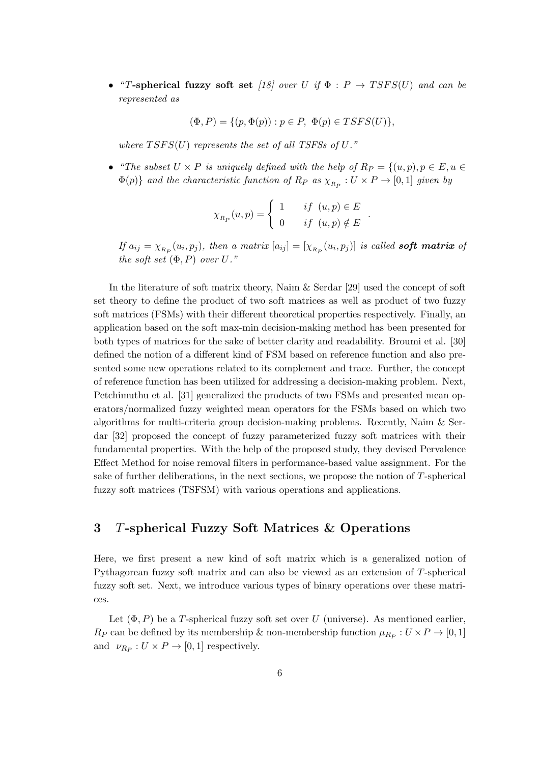**•** *"T*-spherical fuzzy soft set  $[18]$  over *U if*  $\Phi$  :  $P \rightarrow T SFS(U)$  *and can be represented as*

 $(\Phi, P) = \{ (p, \Phi(p)) : p \in P, \Phi(p) \in TSFS(U) \},\$ 

*where T SF S*(*U*) *represents the set of all TSFSs of U."*

• *"The subset*  $U \times P$  *is uniquely defined with the help of*  $R_P = \{(u, p), p \in E, u \in$  $\Phi(p)$ *}* and the characteristic function of  $R_P$  as  $\chi_{R_P}: U \times P \to [0,1]$  given by

$$
\chi_{R_P}(u, p) = \begin{cases} 1 & \text{if } (u, p) \in E \\ 0 & \text{if } (u, p) \notin E \end{cases}
$$

*.*

If  $a_{ij} = \chi_{R_P}(u_i, p_j)$ , then a matrix  $[a_{ij}] = [\chi_{R_P}(u_i, p_j)]$  is called **soft matrix** of *the soft set*  $(\Phi, P)$  *over*  $U$ *.*"

In the literature of soft matrix theory, Naim & Serdar [29] used the concept of soft set theory to define the product of two soft matrices as well as product of two fuzzy soft matrices (FSMs) with their different theoretical properties respectively. Finally, an application based on the soft max-min decision-making method has been presented for both types of matrices for the sake of better clarity and readability. Broumi et al. [30] defined the notion of a different kind of FSM based on reference function and also presented some new operations related to its complement and trace. Further, the concept of reference function has been utilized for addressing a decision-making problem. Next, Petchimuthu et al. [31] generalized the products of two FSMs and presented mean operators/normalized fuzzy weighted mean operators for the FSMs based on which two algorithms for multi-criteria group decision-making problems. Recently, Naim & Serdar [32] proposed the concept of fuzzy parameterized fuzzy soft matrices with their fundamental properties. With the help of the proposed study, they devised Pervalence Effect Method for noise removal filters in performance-based value assignment. For the sake of further deliberations, in the next sections, we propose the notion of *T*-spherical fuzzy soft matrices (TSFSM) with various operations and applications.

# **3** *T***-spherical Fuzzy Soft Matrices & Operations**

Here, we first present a new kind of soft matrix which is a generalized notion of Pythagorean fuzzy soft matrix and can also be viewed as an extension of *T*-spherical fuzzy soft set. Next, we introduce various types of binary operations over these matrices.

Let  $(\Phi, P)$  be a *T*-spherical fuzzy soft set over *U* (universe). As mentioned earlier,  $R_P$  can be defined by its membership & non-membership function  $\mu_{R_P}: U \times P \to [0,1]$ and  $\nu_{R_P}: U \times P \to [0, 1]$  respectively.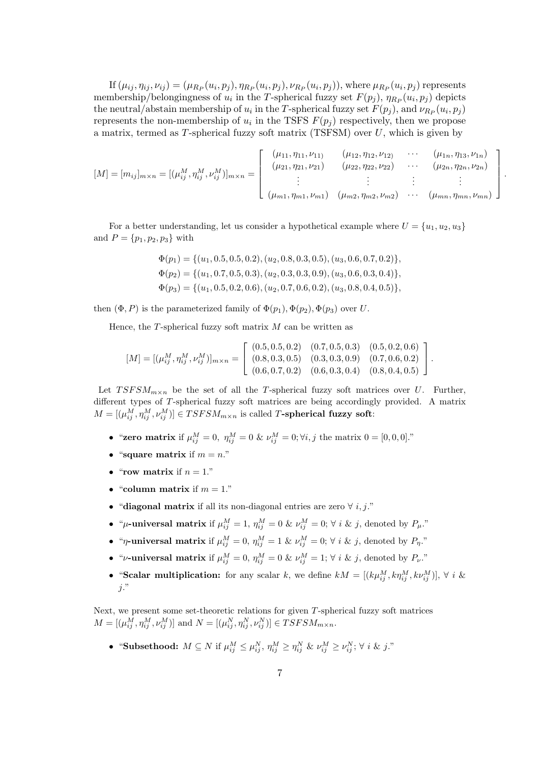If  $(\mu_{ij}, \eta_{ij}, \nu_{ij}) = (\mu_{R_P}(u_i, p_j), \eta_{R_P}(u_i, p_j), \nu_{R_P}(u_i, p_j)),$  where  $\mu_{R_P}(u_i, p_j)$  represents membership/belongingness of  $u_i$  in the *T*-spherical fuzzy set  $F(p_j)$ ,  $\eta_{R_P}(u_i, p_j)$  depicts the neutral/abstain membership of  $u_i$  in the *T*-spherical fuzzy set  $F(p_j)$ , and  $\nu_{R_P}(u_i, p_j)$ represents the non-membership of  $u_i$  in the TSFS  $F(p_j)$  respectively, then we propose a matrix, termed as *T*-spherical fuzzy soft matrix (TSFSM) over *U*, which is given by

$$
[M] = [m_{ij}]_{m \times n} = [(\mu_{ij}^M, \eta_{ij}^M, \nu_{ij}^M)]_{m \times n} = \begin{bmatrix} (\mu_{11}, \eta_{11}, \nu_{11}) & (\mu_{12}, \eta_{12}, \nu_{12}) & \cdots & (\mu_{1n}, \eta_{13}, \nu_{1n}) \\ (\mu_{21}, \eta_{21}, \nu_{21}) & (\mu_{22}, \eta_{22}, \nu_{22}) & \cdots & (\mu_{2n}, \eta_{2n}, \nu_{2n}) \\ \vdots & \vdots & \vdots & \vdots \\ (\mu_{m1}, \eta_{m1}, \nu_{m1}) & (\mu_{m2}, \eta_{m2}, \nu_{m2}) & \cdots & (\mu_{mn}, \eta_{mn}, \nu_{mn}) \end{bmatrix}.
$$

For a better understanding, let us consider a hypothetical example where  $U = \{u_1, u_2, u_3\}$ and  $P = \{p_1, p_2, p_3\}$  with

$$
\Phi(p_1) = \{ (u_1, 0.5, 0.5, 0.2), (u_2, 0.8, 0.3, 0.5), (u_3, 0.6, 0.7, 0.2) \},
$$
  
\n
$$
\Phi(p_2) = \{ (u_1, 0.7, 0.5, 0.3), (u_2, 0.3, 0.3, 0.9), (u_3, 0.6, 0.3, 0.4) \},
$$
  
\n
$$
\Phi(p_3) = \{ (u_1, 0.5, 0.2, 0.6), (u_2, 0.7, 0.6, 0.2), (u_3, 0.8, 0.4, 0.5) \},
$$

then  $(\Phi, P)$  is the parameterized family of  $\Phi(p_1), \Phi(p_2), \Phi(p_3)$  over *U*.

Hence, the *T*-spherical fuzzy soft matrix *M* can be written as

$$
[M] = [(\mu_{ij}^M, \eta_{ij}^M, \nu_{ij}^M)]_{m \times n} = \begin{bmatrix} (0.5, 0.5, 0.2) & (0.7, 0.5, 0.3) & (0.5, 0.2, 0.6) \\ (0.8, 0.3, 0.5) & (0.3, 0.3, 0.9) & (0.7, 0.6, 0.2) \\ (0.6, 0.7, 0.2) & (0.6, 0.3, 0.4) & (0.8, 0.4, 0.5) \end{bmatrix}.
$$

Let  $T SFSM_{m\times n}$  be the set of all the *T*-spherical fuzzy soft matrices over *U*. Further, different types of *T*-spherical fuzzy soft matrices are being accordingly provided. A matrix  $M = [(\mu_{ij}^M, \eta_{ij}^M, \nu_{ij}^M)] \in T SFSM_{m \times n}$  is called *T*-spherical fuzzy soft:

- "**zero matrix** if  $\mu_{ij}^M = 0$ ,  $\eta_{ij}^M = 0$  &  $\nu_{ij}^M = 0$ ;  $\forall i, j$  the matrix  $0 = [0, 0, 0]$ ."
- "square matrix if  $m = n$ ."
- "**row matrix** if  $n = 1$ ."
- "column matrix if  $m = 1$ ."
- *•* "**diagonal matrix** if all its non-diagonal entries are zero *∀ i, j*."
- "*µ***-universal matrix** if  $\mu_{ij}^M = 1$ ,  $\eta_{ij}^M = 0$  &  $\nu_{ij}^M = 0$ ;  $\forall i$  & *j*, denoted by  $P_\mu$ ."
- "*η*-universal matrix if  $\mu_{ij}^M = 0$ ,  $\eta_{ij}^M = 1$  &  $\nu_{ij}^M = 0$ ;  $\forall i$  & *j*, denoted by  $P_\eta$ ."
- **•** "*ν***-universal matrix** if  $\mu_{ij}^M = 0$ ,  $\eta_{ij}^M = 0$  &  $\nu_{ij}^M = 1$ ;  $\forall i$  & *j*, denoted by  $P_\nu$ ."
- "Scalar multiplication: for any scalar *k*, we define  $kM = [(k\mu_{ij}^M, k\eta_{ij}^M, k\nu_{ij}^M)]$ ,  $\forall i \&$ *j*."

Next, we present some set-theoretic relations for given *T*-spherical fuzzy soft matrices  $M = [(\mu_{ij}^M, \eta_{ij}^M, \nu_{ij}^M)]$  and  $N = [(\mu_{ij}^N, \eta_{ij}^N, \nu_{ij}^N)] \in TSFSM_{m \times n}$ .

• "Subsethood:  $M \subseteq N$  if  $\mu_{ij}^M \leq \mu_{ij}^N$ ,  $\eta_{ij}^M \geq \eta_{ij}^N$  &  $\nu_{ij}^M \geq \nu_{ij}^N$ ;  $\forall i \& j$ ."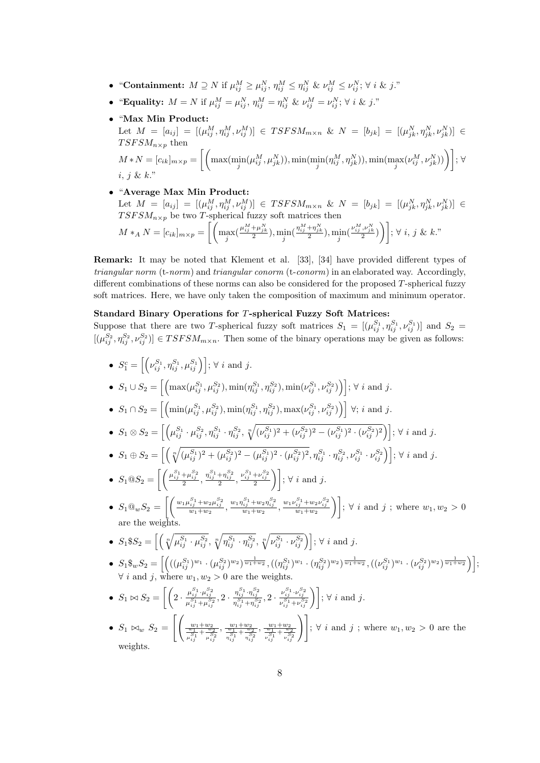- "Containment:  $M \supseteq N$  if  $\mu_{ij}^M \geq \mu_{ij}^N$ ,  $\eta_{ij}^M \leq \eta_{ij}^N$  &  $\nu_{ij}^M \leq \nu_{ij}^N$ ;  $\forall i$  & j."
- "Equality:  $M = N$  if  $\mu_{ij}^M = \mu_{ij}^N$ ,  $\eta_{ij}^M = \eta_{ij}^N$  &  $\nu_{ij}^M = \nu_{ij}^N$ ;  $\forall i$  & j."
- *•* "**Max Min Product:** Let  $M = [a_{ij}] = [(\mu_{ij}^M, \eta_{ij}^M, \nu_{ij}^M)] \in TSFSM_{m \times n}$  &  $N = [b_{jk}] = [(\mu_{jk}^N, \eta_{jk}^N, \nu_{jk}^N)] \in$  $T SFSM_{n\times p}$  then  $M*N=[c_{ik}]_{m\times p}=\left[\left(\max(\min_j(\mu_{ij}^M,\mu_{jk}^N)),\min(\min_j(\eta_{ij}^M,\eta_{jk}^N)),\min(\max_j(\nu_{ij}^M,\nu_{jk}^N))\right)\right];\ \forall$ *i*, *j* & *k*."
- *•* "**Average Max Min Product:** Let  $M = [a_{ij}] = [(\mu_{ij}^M, \eta_{ij}^M, \nu_{ij}^M)] \in TSFSM_{m \times n}$  &  $N = [b_{jk}] = [(\mu_{jk}^N, \eta_{jk}^N, \nu_{jk}^N)] \in$  $T SFSM_{n\times p}$  be two *T*-spherical fuzzy soft matrices then  $M *_{A} N = [c_{ik}]_{m \times p} = \left[ \left( \max_{j} (\frac{\mu_{ij}^{M} + \mu_{jk}^{N}}{2}), \min_{j} (\frac{\eta_{ij}^{M} + \eta_{jk}^{N}}{2}), \min_{j} (\frac{\nu_{ij}^{M}, \nu_{jk}^{N}}{2}) \right) \right]; \forall i, j \& k."$

**Remark:** It may be noted that Klement et al. [33], [34] have provided different types of *triangular norm* (t-*norm*) and *triangular conorm* (t-*conorm*) in an elaborated way. Accordingly, different combinations of these norms can also be considered for the proposed *T*-spherical fuzzy soft matrices. Here, we have only taken the composition of maximum and minimum operator.

### **Standard Binary Operations for** *T***-spherical Fuzzy Soft Matrices:**

Suppose that there are two *T*-spherical fuzzy soft matrices  $S_1 = [(\mu_{ij}^{S_1}, \eta_{ij}^{S_1}, \nu_{ij}^{S_1})]$  and  $S_2 =$  $[(\mu_{ij}^{S_2}, \eta_{ij}^{S_2}, \nu_{ij}^{S_2})] \in T SFSM_{m \times n}$ . Then some of the binary operations may be given as follows:

• 
$$
S_1^c = \left[ \left( \nu_{ij}^{S_1}, \eta_{ij}^{S_1}, \mu_{ij}^{S_1} \right) \right]; \forall i \text{ and } j.
$$
  
\n•  $S_1 \cup S_2 = \left[ \left( \max(\mu_{ij}^{S_1}, \mu_{ij}^{S_2}), \min(\eta_{ij}^{S_1}, \eta_{ij}^{S_2}), \min(\nu_{ij}^{S_1}, \nu_{ij}^{S_2}) \right) \right]; \forall i \text{ and } j.$   
\n•  $S_1 \cap S_2 = \left[ \left( \min(\mu_{ij}^{S_1}, \mu_{ij}^{S_2}), \min(\eta_{ij}^{S_1}, \eta_{ij}^{S_2}), \max(\nu_{ij}^{S_1}, \nu_{ij}^{S_2}) \right) \right] \forall i \text{ and } j.$   
\n•  $S_1 \otimes S_2 = \left[ \left( \mu_{ij}^{S_1} \cdot \mu_{ij}^{S_2}, \eta_{ij}^{S_1} \cdot \eta_{ij}^{S_2}, \sqrt[n]{(\nu_{ij}^{S_1})^2 + (\nu_{ij}^{S_2})^2 - (\nu_{ij}^{S_1})^2 \cdot (\nu_{ij}^{S_2})^2} \right) \right]; \forall i \text{ and } j.$   
\n•  $S_1 \oplus S_2 = \left[ \left( \sqrt[n]{(\mu_{ij}^{S_1})^2 + (\mu_{ij}^{S_2})^2 - (\mu_{ij}^{S_1})^2 \cdot (\mu_{ij}^{S_2})^2}, \eta_{ij}^{S_1} \cdot \eta_{ij}^{S_2}, \nu_{ij}^{S_1} \cdot \nu_{ij}^{S_2} \right) \right]; \forall i \text{ and } j.$   
\n•  $S_1 \oplus S_2 = \left[ \left( \frac{\mu_{ij}^{S_1} + \mu_{ij}^{S_2}}{2}, \frac{\eta_{ij}^{S_1} + \eta_{ij}^{S_2}}{2}, \frac{\nu_{ij}^{S_1} + \nu_{ij}^{S_2}}{2} \right) \right]; \forall i \text{ and } j.$   
\n•  $S_1 \oplus S_2 = \left[ \left( \frac{\mu_{1}^{S_1} + \mu_{2}^{S_2}}{w_1 + w_2}, \frac{\mu_{1}^{S_1} + \mu_{2}^{S_2}}{w_1 + w_2}, \frac{\mu_{1$ 

• 
$$
S_1\$_w S_2 = \left[ \left( ((\mu_{ij}^{S_1})^{w_1} \cdot (\mu_{ij}^{S_2})^{w_2})^{\frac{1}{w_1 + w_2}}, ((\eta_{ij}^{S_1})^{w_1} \cdot (\eta_{ij}^{S_2})^{w_2})^{\frac{1}{w_1 + w_2}}, ((\nu_{ij}^{S_1})^{w_1} \cdot (\nu_{ij}^{S_2})^{w_2})^{\frac{1}{w_1 + w_2}} \right) \right];
$$
  
\n $\forall i$  and j, where  $w_1, w_2 > 0$  are the weights.

•  $S_1 \bowtie S_2 = \left[ \left( 2 \cdot \frac{\mu_{ij}^{S_1} \cdot \mu_{ij}^{S_2}}{\mu_{ij}^{S_1} + \mu_{ij}^{S_2}}, 2 \cdot \frac{\eta_{ij}^{S_1} \cdot \eta_{ij}^{S_2}}{\eta_{ij}^{S_1} + \eta_{ij}^{S_2}}, 2 \cdot \frac{\nu_{ij}^{S_1} \cdot \nu_{ij}^{S_2}}{\nu_{ij}^{S_1} + \nu_{ij}^{S_2}} \right) \right]; \forall i \text{ and } j.$ 

• 
$$
S_1 \bowtie_w S_2 = \left[ \left( \frac{w_1 + w_2}{\frac{w_1}{s_1} + \frac{w_2}{s_2}}, \frac{w_1 + w_2}{\frac{w_1}{s_1} + \frac{w_2}{s_2}}, \frac{w_1 + w_2}{\frac{w_1}{s_1} + \frac{w_2}{s_2}} \right) \right]
$$
;  $\forall i$  and  $j$ ; where  $w_1, w_2 > 0$  are the weights.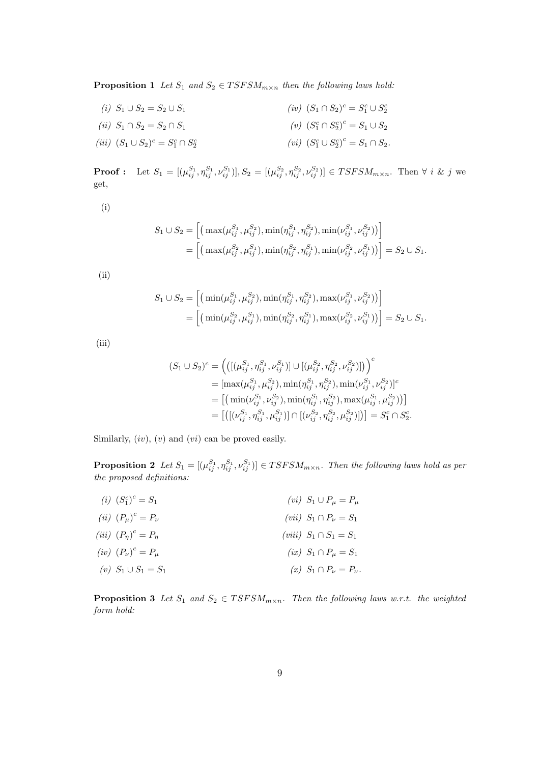**Proposition 1** *Let*  $S_1$  *and*  $S_2 \in T SFSM_{m \times n}$  *then the following laws hold:* 

*(i)*  $S_1 \cup S_2 = S_2 \cup S_1$ *(ii)*  $S_1 ∩ S_2 = S_2 ∩ S_1$  $(iii)$   $(S_1 ∪ S_2)^c = S_1^c ∩ S_2^c$  $(iv)$   $(S_1 ∩ S_2)^c = S_1^c ∪ S_2^c$ *(v)*  $(S_1^c \cap S_2^c)^c = S_1 \cup S_2$  $(vi)$   $(S_1^c \cup S_2^c)^c = S_1 \cap S_2$ .

**Proof**: Let  $S_1 = [(\mu_{ij}^{S_1}, \eta_{ij}^{S_1}, \nu_{ij}^{S_1})], S_2 = [(\mu_{ij}^{S_2}, \eta_{ij}^{S_2}, \nu_{ij}^{S_2})] \in TSFSM_{m \times n}$ . Then  $\forall i \& j$  we get,

(i)

$$
S_1 \cup S_2 = \left[ \left( \max(\mu_{ij}^{S_1}, \mu_{ij}^{S_2}), \min(\eta_{ij}^{S_1}, \eta_{ij}^{S_2}), \min(\nu_{ij}^{S_1}, \nu_{ij}^{S_2}) \right) \right] = \left[ \left( \max(\mu_{ij}^{S_2}, \mu_{ij}^{S_1}), \min(\eta_{ij}^{S_2}, \eta_{ij}^{S_1}), \min(\nu_{ij}^{S_2}, \nu_{ij}^{S_1}) \right) \right] = S_2 \cup S_1.
$$

(ii)

$$
S_1 \cup S_2 = \left[ \left( \min(\mu_{ij}^{S_1}, \mu_{ij}^{S_2}), \min(\eta_{ij}^{S_1}, \eta_{ij}^{S_2}), \max(\nu_{ij}^{S_1}, \nu_{ij}^{S_2}) \right) \right] = \left[ \left( \min(\mu_{ij}^{S_2}, \mu_{ij}^{S_1}), \min(\eta_{ij}^{S_2}, \eta_{ij}^{S_1}), \max(\nu_{ij}^{S_2}, \nu_{ij}^{S_1}) \right) \right] = S_2 \cup S_1.
$$

(iii)

$$
(S_1 \cup S_2)^c = \left(\left(\left[\left(\mu_{ij}^{S_1}, \eta_{ij}^{S_1}, \nu_{ij}^{S_1}\right)\right] \cup \left[\left(\mu_{ij}^{S_2}, \eta_{ij}^{S_2}, \nu_{ij}^{S_2}\right)\right]\right)\right)^c
$$
  
\n
$$
= \left[\max(\mu_{ij}^{S_1}, \mu_{ij}^{S_2}), \min(\eta_{ij}^{S_1}, \eta_{ij}^{S_2}), \min(\nu_{ij}^{S_1}, \nu_{ij}^{S_2})\right]^c
$$
  
\n
$$
= \left[\left(\min(\nu_{ij}^{S_1}, \nu_{ij}^{S_2}), \min(\eta_{ij}^{S_1}, \eta_{ij}^{S_2}), \max(\mu_{ij}^{S_1}, \mu_{ij}^{S_2})\right)\right]
$$
  
\n
$$
= \left[\left(\left[\left(\nu_{ij}^{S_1}, \eta_{ij}^{S_1}, \mu_{ij}^{S_1}\right)\right] \cap \left[\left(\nu_{ij}^{S_2}, \eta_{ij}^{S_2}, \mu_{ij}^{S_2}\right)\right]\right)\right] = S_1^c \cap S_2^c.
$$

Similarly, (*iv*), (*v*) and (*vi*) can be proved easily.

**Proposition 2** Let  $S_1 = [(\mu_{ij}^{S_1}, \eta_{ij}^{S_1}, \nu_{ij}^{S_1})] \in TSFSM_{m \times n}$ . Then the following laws hold as per *the proposed definitions:*

| ( <i>i</i> ) $(S_1^c)^c = S_1$        | $(vi)$ $S_1 \cup P_\mu = P_\mu$      |
|---------------------------------------|--------------------------------------|
| ( <i>ii</i> ) $(P_{\mu})^c = P_{\nu}$ | $(vii)$ $S_1 \cap P_{\nu} = S_1$     |
| $(iii)$ $(P_n)^c = P_n$               | ( <i>viii</i> ) $S_1 \cap S_1 = S_1$ |
| $(iv)$ $(P_{\nu})^c = P_{\mu}$        | $(ix)$ $S_1 \cap P_\mu = S_1$        |
| (v) $S_1 \cup S_1 = S_1$              | (x) $S_1 \cap P_{\nu} = P_{\nu}$ .   |
|                                       |                                      |

**Proposition 3** Let  $S_1$  and  $S_2 \in T SFSM_{m \times n}$ . Then the following laws w.r.t. the weighted *form hold:*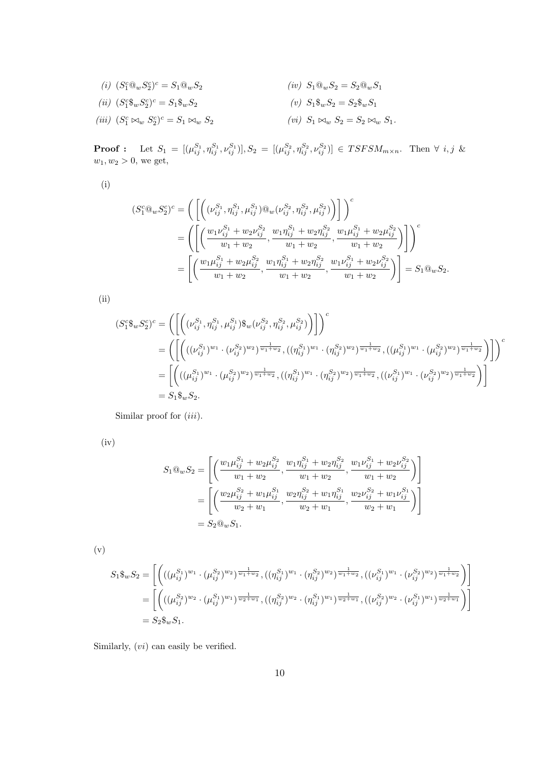(i) 
$$
(S_1^c@_wS_2^c)^c = S_1@_wS_2
$$
  
\n(ii)  $(S_1^c@_wS_2^c)^c = S_1@_wS_2$   
\n(iii)  $(S_1^c@_wS_2^c)^c = S_1@_wS_2$   
\n(iv)  $S_1@_wS_2 = S_2@_wS_1$   
\n(v)  $S_1@_wS_2 = S_2@_wS_1$   
\n(vi)  $S_1@_wS_2 = S_2@_wS_1$   
\n(vii)  $(S_1^c\bowtie_w S_2^c)^c = S_1\bowtie_w S_2$   
\n(viii)  $(S_1^c\bowtie_w S_2^c)^c = S_1\bowtie_w S_2$ 

**Proof**: Let  $S_1 = [(\mu_{ij}^{S_1}, \eta_{ij}^{S_1}, \nu_{ij}^{S_1})], S_2 = [(\mu_{ij}^{S_2}, \eta_{ij}^{S_2}, \nu_{ij}^{S_2})] \in TSFSM_{m \times n}$ . Then  $\forall i, j \&$  $w_1, w_2 > 0$ , we get,

(i)

$$
(S_1^c \mathbb{Q}_w S_2^c)^c = \left( \left[ \left( (\nu_{ij}^{S_1}, \eta_{ij}^{S_1}, \mu_{ij}^{S_1}) \mathbb{Q}_w (\nu_{ij}^{S_2}, \eta_{ij}^{S_2}, \mu_{ij}^{S_2}) \right) \right] \right)^c
$$
  
= 
$$
\left( \left[ \left( \frac{w_1 \nu_{ij}^{S_1} + w_2 \nu_{ij}^{S_2}}{w_1 + w_2}, \frac{w_1 \eta_{ij}^{S_1} + w_2 \eta_{ij}^{S_2}}{w_1 + w_2}, \frac{w_1 \mu_{ij}^{S_1} + w_2 \mu_{ij}^{S_2}}{w_1 + w_2} \right) \right] \right)^c
$$
  
= 
$$
\left[ \left( \frac{w_1 \mu_{ij}^{S_1} + w_2 \mu_{ij}^{S_2}}{w_1 + w_2}, \frac{w_1 \eta_{ij}^{S_1} + w_2 \eta_{ij}^{S_2}}{w_1 + w_2}, \frac{w_1 \nu_{ij}^{S_1} + w_2 \nu_{ij}^{S_2}}{w_1 + w_2} \right) \right] = S_1 \mathbb{Q}_w S_2.
$$

(ii)

$$
(S_1^c \mathcal{F}_w S_2^c)^c = \left( \left[ \left( (\nu_{ij}^{S_1}, \eta_{ij}^{S_1}, \mu_{ij}^{S_1}) \mathcal{F}_w (\nu_{ij}^{S_2}, \eta_{ij}^{S_2}, \mu_{ij}^{S_2}) \right) \right] \right)^c
$$
  
\n
$$
= \left( \left[ \left( ((\nu_{ij}^{S_1})^{w_1} \cdot (\nu_{ij}^{S_2})^{w_2})^{\frac{1}{w_1 + w_2}}, ((\eta_{ij}^{S_1})^{w_1} \cdot (\eta_{ij}^{S_2})^{w_2})^{\frac{1}{w_1 + w_2}}, ((\mu_{ij}^{S_1})^{w_1} \cdot (\mu_{ij}^{S_2})^{w_2})^{\frac{1}{w_1 + w_2}} \right) \right] \right)^c
$$
  
\n
$$
= \left[ \left( ((\mu_{ij}^{S_1})^{w_1} \cdot (\mu_{ij}^{S_2})^{w_2})^{\frac{1}{w_1 + w_2}}, ((\eta_{ij}^{S_1})^{w_1} \cdot (\eta_{ij}^{S_2})^{w_2})^{\frac{1}{w_1 + w_2}}, ((\nu_{ij}^{S_1})^{w_1} \cdot (\nu_{ij}^{S_2})^{w_2})^{\frac{1}{w_1 + w_2}} \right) \right]
$$
  
\n
$$
= S_1 \mathcal{F}_w S_2.
$$

Similar proof for (*iii*).

(iv)

$$
S_1 @_{w} S_2 = \left[ \left( \frac{w_1 \mu_{ij}^{S_1} + w_2 \mu_{ij}^{S_2}}{w_1 + w_2}, \frac{w_1 \eta_{ij}^{S_1} + w_2 \eta_{ij}^{S_2}}{w_1 + w_2}, \frac{w_1 \nu_{ij}^{S_1} + w_2 \nu_{ij}^{S_2}}{w_1 + w_2} \right) \right]
$$
  
= 
$$
\left[ \left( \frac{w_2 \mu_{ij}^{S_2} + w_1 \mu_{ij}^{S_1}}{w_2 + w_1}, \frac{w_2 \eta_{ij}^{S_2} + w_1 \eta_{ij}^{S_1}}{w_2 + w_1}, \frac{w_2 \nu_{ij}^{S_2} + w_1 \nu_{ij}^{S_1}}{w_2 + w_1} \right) \right]
$$
  
= 
$$
S_2 @_{w} S_1.
$$

(v)

$$
S_1 \mathcal{E}_w S_2 = \left[ \left( ((\mu_{ij}^{S_1})^{w_1} \cdot (\mu_{ij}^{S_2})^{w_2})^{\frac{1}{w_1 + w_2}}, ((\eta_{ij}^{S_1})^{w_1} \cdot (\eta_{ij}^{S_2})^{w_2})^{\frac{1}{w_1 + w_2}}, ((\nu_{ij}^{S_1})^{w_1} \cdot (\nu_{ij}^{S_2})^{w_2})^{\frac{1}{w_1 + w_2}} \right] \right]
$$
  
= 
$$
\left[ \left( ((\mu_{ij}^{S_2})^{w_2} \cdot (\mu_{ij}^{S_1})^{w_1})^{\frac{1}{w_2 + w_1}}, ((\eta_{ij}^{S_2})^{w_2} \cdot (\eta_{ij}^{S_1})^{w_1})^{\frac{1}{w_2 + w_1}}, ((\nu_{ij}^{S_2})^{w_2} \cdot (\nu_{ij}^{S_1})^{w_1})^{\frac{1}{w_2 + w_1}} \right] \right]
$$
  
=  $S_2 \mathcal{E}_w S_1.$ 

Similarly, (*vi*) can easily be verified.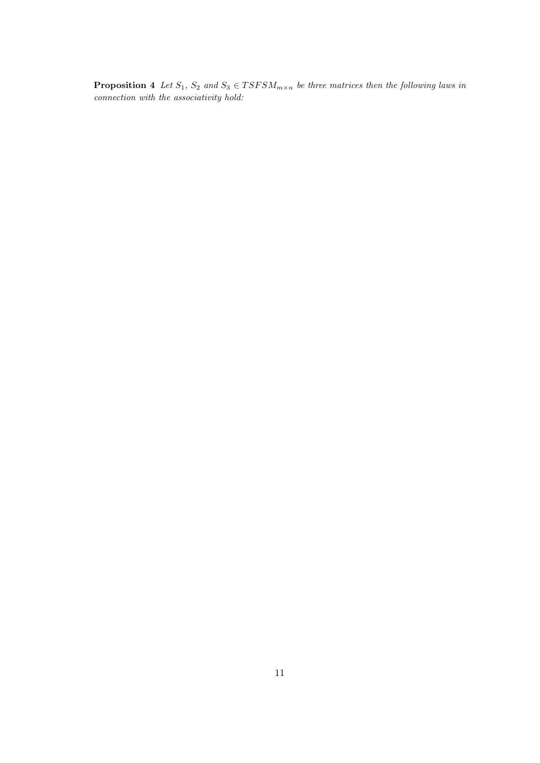**Proposition 4** *Let*  $S_1$ ,  $S_2$  *and*  $S_3 \in T SFSM_{m \times n}$  *be three matrices then the following laws in connection with the associativity hold:*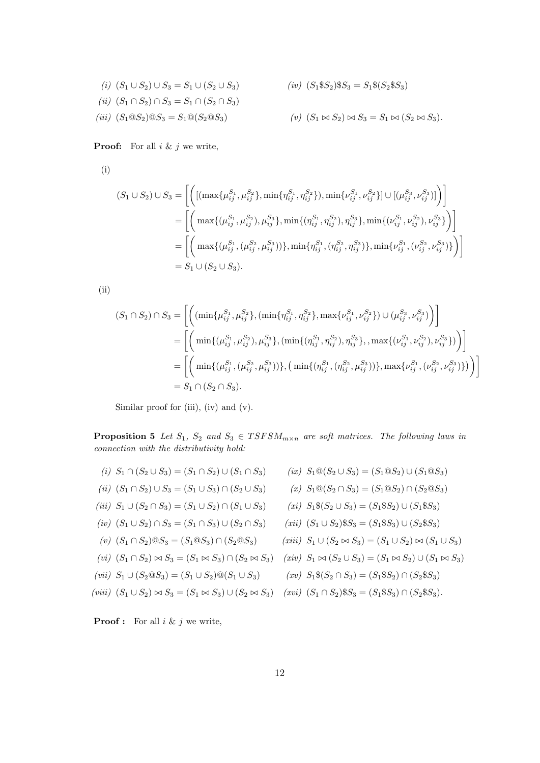(i) 
$$
(S_1 \cup S_2) \cup S_3 = S_1 \cup (S_2 \cup S_3)
$$
  
\n(ii)  $(S_1 \cap S_2) \cap S_3 = S_1 \cap (S_2 \cap S_3)$   
\n(iii)  $(S_1 @ S_2) @ S_3 = S_1 @ (S_2 @ S_3)$   
\n(iv)  $(S_1 @ S_2) @ S_3 = S_1 @ (S_2 @ S_3)$   
\n(v)  $(S_1 \bowtie S_2) \bowtie S_3 = S_1 \bowtie (S_2 \bowtie S_3)$ .

**Proof:** For all *i* & *j* we write,

(i)

$$
(S_1 \cup S_2) \cup S_3 = \left[ \left( \left[ (\max\{\mu_{ij}^{S_1}, \mu_{ij}^{S_2}\}, \min\{\eta_{ij}^{S_1}, \eta_{ij}^{S_2}\}\), \min\{\nu_{ij}^{S_1}, \nu_{ij}^{S_2}\}\right] \cup \left[ (\mu_{ij}^{S_3}, \nu_{ij}^{S_3})\right] \right) \right]
$$
  
\n
$$
= \left[ \left( \max\{(\mu_{ij}^{S_1}, \mu_{ij}^{S_2}), \mu_{ij}^{S_3}\}, \min\{(\eta_{ij}^{S_1}, \eta_{ij}^{S_2}), \eta_{ij}^{S_3}\}, \min\{(\nu_{ij}^{S_1}, \nu_{ij}^{S_2}), \nu_{ij}^{S_3}\} \right) \right]
$$
  
\n
$$
= \left[ \left( \max\{(\mu_{ij}^{S_1}, (\mu_{ij}^{S_2}, \mu_{ij}^{S_3}))\}, \min\{\eta_{ij}^{S_1}, (\eta_{ij}^{S_2}, \eta_{ij}^{S_3})\}, \min\{\nu_{ij}^{S_1}, (\nu_{ij}^{S_2}, \nu_{ij}^{S_3})\} \right) \right]
$$
  
\n
$$
= S_1 \cup (S_2 \cup S_3).
$$

(ii)

$$
(S_1 \cap S_2) \cap S_3 = \left[ \left( \min\{\mu_{ij}^{S_1}, \mu_{ij}^{S_2}\}, \left(\min\{\eta_{ij}^{S_1}, \eta_{ij}^{S_2}\}, \max\{\nu_{ij}^{S_1}, \nu_{ij}^{S_2}\}\right) \cup (\mu_{ij}^{S_3}, \nu_{ij}^{S_3}) \right) \right]
$$
  
\n
$$
= \left[ \left( \min\{(\mu_{ij}^{S_1}, \mu_{ij}^{S_2}), \mu_{ij}^{S_3}\}, \left(\min\{(\eta_{ij}^{S_1}, \eta_{ij}^{S_2}), \eta_{ij}^{S_3}\}, \max\{(\nu_{ij}^{S_1}, \nu_{ij}^{S_2}), \nu_{ij}^{S_3}\}\right) \right] \right]
$$
  
\n
$$
= \left[ \left( \min\{(\mu_{ij}^{S_1}, (\mu_{ij}^{S_2}, \mu_{ij}^{S_3}))\}, \left(\min\{(\eta_{ij}^{S_1}, (\eta_{ij}^{S_2}, \mu_{ij}^{S_3}))\}, \max\{\nu_{ij}^{S_1}, (\nu_{ij}^{S_2}, \nu_{ij}^{S_3})\}\right) \right] \right]
$$
  
\n
$$
= S_1 \cap (S_2 \cap S_3).
$$

Similar proof for (iii), (iv) and (v).

**Proposition 5** *Let*  $S_1$ ,  $S_2$  *and*  $S_3 \in T SFSM_{m \times n}$  *are soft matrices. The following laws in connection with the distributivity hold:*

- (i)  $S_1 \cap (S_2 \cup S_3) = (S_1 \cap S_2) \cup (S_1 \cap S_3)$  (ix)  $S_1 @ (S_2 \cup S_3) = (S_1 @ S_2) \cup (S_1 @ S_3)$
- $(iii)$   $(S_1 ∩ S_2) ∪ S_3 = (S_1 ∪ S_3) ∩ (S_2 ∪ S_3)$
- $(iii)$  *S*<sub>1</sub> ∪ (*S*<sub>2</sub> ∩ *S*<sub>3</sub>) = (*S*<sub>1</sub> ∪ *S*<sub>2</sub>) ∩ (*S*<sub>1</sub> ∪ *S*<sub>3</sub>)
- *(iv)*  $(S_1 \cup S_2) \cap S_3 = (S_1 \cap S_3) \cup (S_2 \cap S_3)$
- *(v)*  $(S_1 ∩ S_2) @ S_3 = (S_1 @ S_3) ∩ (S_2 @ S_3)$
- 

$$
(vii) S_1 \cup (S_2 \t\t\t@S_3) = (S_1 \cup S_2) \t\t\t\t\t@(S_1 \cup S_3)
$$

$$
(xi) S_1\$(S_2 \cup S_3) = (S_1\$S_2) \cup (S_1\$S_3)
$$

*(x)*  $S_1$  $\mathbb{Q}(S_2 \cap S_3) = (S_1 \mathbb{Q} S_2) \cap (S_2 \mathbb{Q} S_3)$ 

- $(xii)$   $(S_1 ∪ S_2)$  \$ $S_3 = (S_1$  \$ $S_3) ∪ (S_2$  \$ $S_3)$
- $(iiiii)$  *S*<sub>1</sub> ∪ (*S*<sub>2</sub>  $\bowtie$  *S*<sub>3</sub>) = (*S*<sub>1</sub> ∪ *S*<sub>2</sub>)  $\bowtie$  (*S*<sub>1</sub> ∪ *S*<sub>3</sub>)
- $(vi)$   $(S_1 \cap S_2) \bowtie S_3 = (S_1 \bowtie S_3) \cap (S_2 \bowtie S_3)$   $(xiv)$   $S_1 \bowtie (S_2 \cup S_3) = (S_1 \bowtie S_2) \cup (S_1 \bowtie S_3)$

$$
(xv) S_1\$(S_2 \cap S_3) = (S_1\$S_2) \cap (S_2\$S_3)
$$

(viii)  $(S_1 \cup S_2) \bowtie S_3 = (S_1 \bowtie S_3) \cup (S_2 \bowtie S_3)$  (xvi)  $(S_1 \cap S_2) \$S_3 = (S_1 \$ S_3) \cap (S_2 \$ S_3)$ .

**Proof :** For all *i* & *j* we write,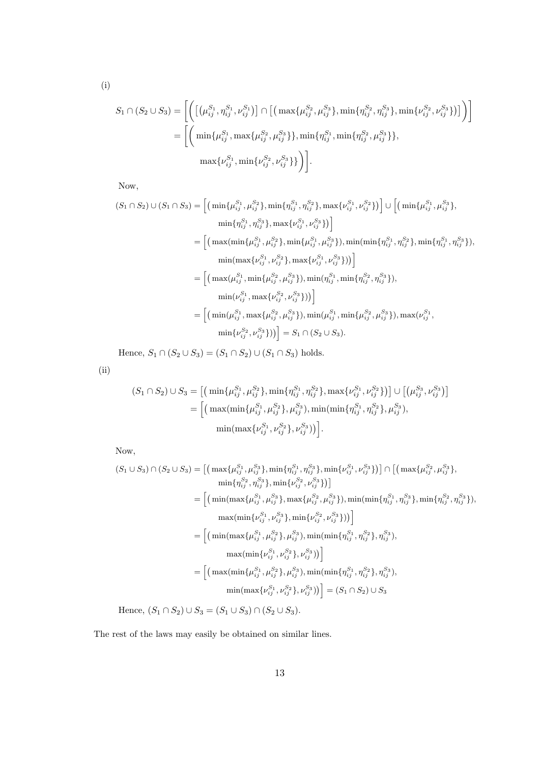$$
\rm(i)
$$

$$
S_1 \cap (S_2 \cup S_3) = \left[ \left( \left[ \left( \mu_{ij}^{S_1}, \eta_{ij}^{S_1}, \nu_{ij}^{S_1} \right) \right] \cap \left[ \left( \max \{ \mu_{ij}^{S_2}, \mu_{ij}^{S_3} \}, \min \{ \eta_{ij}^{S_2}, \eta_{ij}^{S_3} \}, \min \{ \nu_{ij}^{S_2}, \nu_{ij}^{S_3} \} \right) \right] \right) \right]
$$
  
= 
$$
\left[ \left( \min \{ \mu_{ij}^{S_1}, \max \{ \mu_{ij}^{S_2}, \mu_{ij}^{S_3} \} \}, \min \{ \eta_{ij}^{S_1}, \min \{ \eta_{ij}^{S_2}, \mu_{ij}^{S_3} \} \}, \max \{ \nu_{ij}^{S_1}, \min \{ \nu_{ij}^{S_2}, \nu_{ij}^{S_3} \} \} \right) \right].
$$

Now,

$$
(S_{1} \cap S_{2}) \cup (S_{1} \cap S_{3}) = \left[ \left( \min\{\mu_{ij}^{S_{1}}, \mu_{ij}^{S_{2}}\}, \min\{\eta_{ij}^{S_{1}}, \eta_{ij}^{S_{2}}\}, \max\{\nu_{ij}^{S_{1}}, \nu_{ij}^{S_{2}}\} \right) \right] \cup \left[ \left( \min\{\mu_{ij}^{S_{1}}, \mu_{ij}^{S_{3}}\}, \min\{\eta_{ij}^{S_{1}}, \eta_{ij}^{S_{3}}\}, \max\{\nu_{ij}^{S_{1}}, \nu_{ij}^{S_{3}}\} \right) \right]
$$
  
\n
$$
= \left[ \left( \max(\min\{\mu_{ij}^{S_{1}}, \mu_{ij}^{S_{2}}\}, \min\{\mu_{ij}^{S_{1}}, \mu_{ij}^{S_{3}}\}), \min(\min\{\eta_{ij}^{S_{1}}, \eta_{ij}^{S_{2}}\}, \min\{\eta_{ij}^{S_{1}}, \eta_{ij}^{S_{3}}\} \right), \min(\max\{\nu_{ij}^{S_{1}}, \nu_{ij}^{S_{2}}\}, \max\{\nu_{ij}^{S_{1}}, \nu_{ij}^{S_{3}}\} ) \right]
$$
  
\n
$$
= \left[ \left( \max(\mu_{ij}^{S_{1}}, \min\{\mu_{ij}^{S_{2}}, \mu_{ij}^{S_{3}}\}), \min(\eta_{ij}^{S_{1}}, \min\{\eta_{ij}^{S_{2}}, \eta_{ij}^{S_{3}}\} \right), \min(\nu_{ij}^{S_{1}}, \max\{\nu_{ij}^{S_{2}}, \nu_{ij}^{S_{3}}\} ) \right]
$$
  
\n
$$
= \left[ \left( \min(\mu_{ij}^{S_{1}}, \max\{\mu_{ij}^{S_{2}}, \mu_{ij}^{S_{3}}\}), \min(\mu_{ij}^{S_{1}}, \min\{\mu_{ij}^{S_{2}}, \mu_{ij}^{S_{3}}\} \right), \max(\nu_{ij}^{S_{1}}, \min\{\nu_{ij}^{S_{2}}, \nu_{ij}^{S_{3}}\} ) \right) \right]
$$
  
\n
$$
= \left[ \left( \min(\mu_{ij}^{S_{1}}, \max\{\mu_{ij}^{S_{2}}, \mu_{ij}^{S_{3}}\}) , \min(\mu_{ij}^{S_{1}}, \min\{\mu_{ij}^{S_{2}}, \mu_{ij}^{S_{3}}\}) , \max(\nu_{ij}^{S
$$

Hence,  $S_1 \cap (S_2 \cup S_3) = (S_1 \cap S_2) \cup (S_1 \cap S_3)$  holds.

(ii)

$$
(S_1 \cap S_2) \cup S_3 = \left[ \left( \min\{\mu_{ij}^{S_1}, \mu_{ij}^{S_2}\}, \min\{\eta_{ij}^{S_1}, \eta_{ij}^{S_2}\}, \max\{\nu_{ij}^{S_1}, \nu_{ij}^{S_2}\} \right) \right] \cup \left[ \left( \mu_{ij}^{S_3}, \nu_{ij}^{S_3} \right) \right]
$$

$$
= \left[ \left( \max(\min\{\mu_{ij}^{S_1}, \mu_{ij}^{S_2}\}, \mu_{ij}^{S_3}), \min(\min\{\eta_{ij}^{S_1}, \eta_{ij}^{S_2}\}, \mu_{ij}^{S_3}), \right. \right)
$$

$$
\min(\max\{\nu_{ij}^{S_1}, \nu_{ij}^{S_2}\}, \nu_{ij}^{S_3}) \right].
$$

Now,

$$
(S_1 \cup S_3) \cap (S_2 \cup S_3) = \left[ \left( \max\{\mu_{ij}^{S_1}, \mu_{ij}^{S_3}\}, \min\{\eta_{ij}^{S_1}, \eta_{ij}^{S_3}\}, \min\{\nu_{ij}^{S_1}, \nu_{ij}^{S_3}\} \right) \right] \cap \left[ \left( \max\{\mu_{ij}^{S_2}, \mu_{ij}^{S_3}\}, \min\{\nu_{ij}^{S_2}, \nu_{ij}^{S_3}\} \right) \right]
$$
  
\n
$$
= \left[ \left( \min\{\max\{\mu_{ij}^{S_1}, \mu_{ij}^{S_3}\}, \max\{\mu_{ij}^{S_2}, \mu_{ij}^{S_3}\} \right), \min\{\min\{\eta_{ij}^{S_1}, \eta_{ij}^{S_3}\}, \min\{\eta_{ij}^{S_2}, \eta_{ij}^{S_3}\} \right), \max\{\min\{\nu_{ij}^{S_1}, \nu_{ij}^{S_3}\}, \min\{\nu_{ij}^{S_2}, \nu_{ij}^{S_3}\} \right) \right]
$$
  
\n
$$
= \left[ \left( \min\{\max\{\mu_{ij}^{S_1}, \mu_{ij}^{S_2}\}, \mu_{ij}^{S_3}\}, \min\{\min\{\eta_{ij}^{S_1}, \eta_{ij}^{S_2}\}, \eta_{ij}^{S_3}\} \right) \right]
$$
  
\n
$$
= \left[ \left( \min\{\max\{\mu_{ij}^{S_1}, \mu_{ij}^{S_2}\}, \mu_{ij}^{S_3}\}, \min\{\min\{\eta_{ij}^{S_1}, \eta_{ij}^{S_2}\}, \eta_{ij}^{S_3}\} \right), \max\{\min\{\nu_{ij}^{S_1}, \nu_{ij}^{S_2}\}, \nu_{ij}^{S_3}\} \right) \right]
$$
  
\n
$$
= \left[ \left( \max\{\min\{\mu_{ij}^{S_1}, \mu_{ij}^{S_2}\}, \mu_{ij}^{S_3}\}, \min\{\min\{\eta_{ij}^{S_1}, \eta_{ij}^{S_2}\}, \eta_{ij}^{S_3}\} \right), \min\{\max\{\nu_{ij}^{S_1}, \nu_{ij}^{S_3}\}, \nu_{ij}^{S_3}\} \right]
$$
  
\n
$$
= \left[ \left( \max\{\min\{\mu_{ij}
$$

Hence,  $(S_1 \cap S_2) \cup S_3 = (S_1 \cup S_3) \cap (S_2 \cup S_3).$ 

The rest of the laws may easily be obtained on similar lines.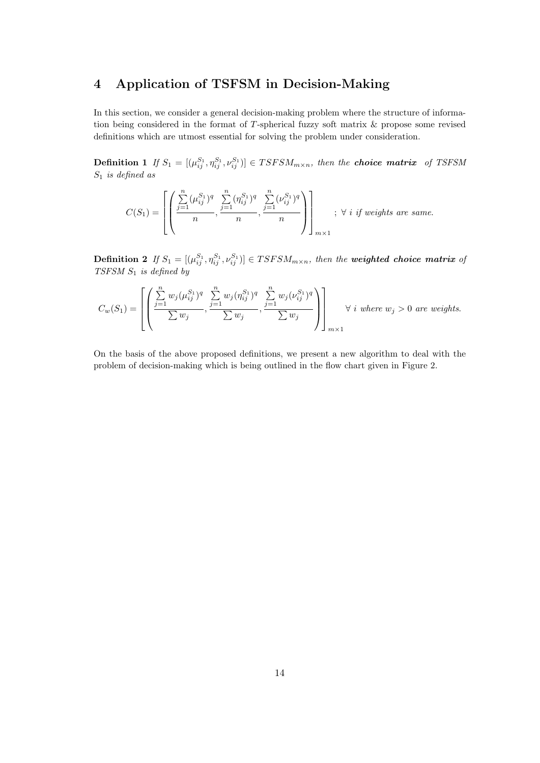# **4 Application of TSFSM in Decision-Making**

In this section, we consider a general decision-making problem where the structure of information being considered in the format of *T*-spherical fuzzy soft matrix & propose some revised definitions which are utmost essential for solving the problem under consideration.

**Definition 1** If  $S_1 = [(\mu_{ij}^{S_1}, \eta_{ij}^{S_1}, \nu_{ij}^{S_1})] \in TSFSM_{m \times n}$ , then the **choice matrix** of TSFSM *S*<sup>1</sup> *is defined as*

$$
C(S_1) = \left[ \left( \frac{\sum_{j=1}^{n} (\mu_{ij}^{S_1})^q}{n}, \frac{\sum_{j=1}^{n} (\eta_{ij}^{S_1})^q}{n}, \frac{\sum_{j=1}^{n} (\nu_{ij}^{S_1})^q}{n} \right) \right]_{m \times 1}; \ \forall \ i \ if \ weights \ are \ same.
$$

**Definition 2** If  $S_1 = [(\mu_{ij}^{S_1}, \eta_{ij}^{S_1}, \nu_{ij}^{S_1})] \in TSFSM_{m \times n}$ , then the **weighted choice matrix** of *TSFSM S*<sup>1</sup> *is defined by*

$$
C_w(S_1) = \left[ \left( \frac{\sum_{j=1}^n w_j (\mu_{ij}^{S_1})^q}{\sum w_j}, \frac{\sum_{j=1}^n w_j (\eta_{ij}^{S_1})^q}{\sum w_j}, \frac{\sum_{j=1}^n w_j (\nu_{ij}^{S_1})^q}{\sum w_j} \right) \right]_{m \times 1} \forall i \text{ where } w_j > 0 \text{ are weights.}
$$

On the basis of the above proposed definitions, we present a new algorithm to deal with the problem of decision-making which is being outlined in the flow chart given in Figure 2.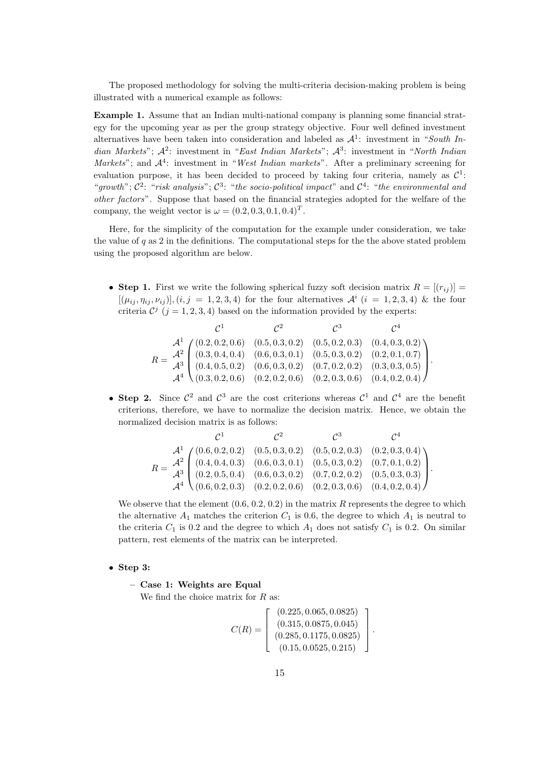The proposed methodology for solving the multi-criteria decision-making problem is being illustrated with a numerical example as follows:

**Example 1.** Assume that an Indian multi-national company is planning some financial strategy for the upcoming year as per the group strategy objective. Four well defined investment alternatives have been taken into consideration and labeled as *A*<sup>1</sup> : investment in "*South Indian Markets*"; *A*<sup>2</sup> : investment in "*East Indian Markets*"; *A*<sup>3</sup> : investment in "*North Indian Markets*"; and *A*<sup>4</sup> : investment in "*West Indian markets*". After a preliminary screening for evaluation purpose, it has been decided to proceed by taking four criteria, namely as  $\mathcal{C}^1$ : "growth";  $C^2$ : "risk analysis";  $C^3$ : "the socio-political impact" and  $C^4$ : "the environmental and *other factors*". Suppose that based on the financial strategies adopted for the welfare of the company, the weight vector is  $\omega = (0.2, 0.3, 0.1, 0.4)^T$ .

Here, for the simplicity of the computation for the example under consideration, we take the value of *q* as 2 in the definitions. The computational steps for the the above stated problem using the proposed algorithm are below.

• **Step 1.** First we write the following spherical fuzzy soft decision matrix  $R = [(r_{ij})] =$  $[(\mu_{ij}, \eta_{ij}, \nu_{ij})], (i, j = 1, 2, 3, 4)$  for the four alternatives  $\mathcal{A}^i$   $(i = 1, 2, 3, 4)$  & the four criteria  $\mathcal{C}^j$  ( $j = 1, 2, 3, 4$ ) based on the information provided by the experts:

|  |  | $\mathcal{C}^2$ | $\mathcal{C}^3$ |                                                                                                                                                                                                                                                                                                    |
|--|--|-----------------|-----------------|----------------------------------------------------------------------------------------------------------------------------------------------------------------------------------------------------------------------------------------------------------------------------------------------------|
|  |  |                 |                 | $R=\begin{pmatrix} \mathcal{A}^1 & \left(\begin{matrix} (0.2,0.2,0.6) & (0.5,0.3,0.2) & (0.5,0.2,0.3) & (0.4,0.3,0.2) \\ (0.3,0.4,0.4) & (0.6,0.3,0.1) & (0.5,0.3,0.2) & (0.2,0.1,0.7) \\ (0.4,0.5,0.2) & (0.6,0.3,0.2) & (0.7,0.2,0.2) & (0.3,0.3,0.5) \\ \mathcal{A}^4 & (0.3,0.2,0.6) & (0.2,0$ |
|  |  |                 |                 |                                                                                                                                                                                                                                                                                                    |
|  |  |                 |                 |                                                                                                                                                                                                                                                                                                    |
|  |  |                 |                 |                                                                                                                                                                                                                                                                                                    |

• **Step 2.** Since  $\mathcal{C}^2$  and  $\mathcal{C}^3$  are the cost criterions whereas  $\mathcal{C}^1$  and  $\mathcal{C}^4$  are the benefit criterions, therefore, we have to normalize the decision matrix. Hence, we obtain the normalized decision matrix is as follows:

$$
R = \frac{\mathcal{A}^1}{\mathcal{A}^3} \begin{pmatrix} (0.6, 0.2, 0.2) & (0.5, 0.3, 0.2) & (0.5, 0.2, 0.3) & (0.2, 0.3, 0.4) \\ (0.4, 0.4, 0.3) & (0.6, 0.3, 0.1) & (0.5, 0.3, 0.2) & (0.7, 0.1, 0.2) \\ (0.2, 0.5, 0.4) & (0.6, 0.3, 0.2) & (0.7, 0.2, 0.2) & (0.5, 0.3, 0.3) \\ \mathcal{A}^4 & (0.6, 0.2, 0.3) & (0.2, 0.2, 0.6) & (0.2, 0.3, 0.6) & (0.4, 0.2, 0.4) \end{pmatrix}.
$$

We observe that the element  $(0.6, 0.2, 0.2)$  in the matrix  $R$  represents the degree to which the alternative  $A_1$  matches the criterion  $C_1$  is 0.6, the degree to which  $A_1$  is neutral to the criteria  $C_1$  is 0.2 and the degree to which  $A_1$  does not satisfy  $C_1$  is 0.2. On similar pattern, rest elements of the matrix can be interpreted.

- *•* **Step 3:**
	- **– Case 1: Weights are Equal**

We find the choice matrix for *R* as:

$$
C(R) = \left[ \begin{array}{c} (0.225, 0.065, 0.0825) \\ (0.315, 0.0875, 0.045) \\ (0.285, 0.1175, 0.0825) \\ (0.15, 0.0525, 0.215) \end{array} \right].
$$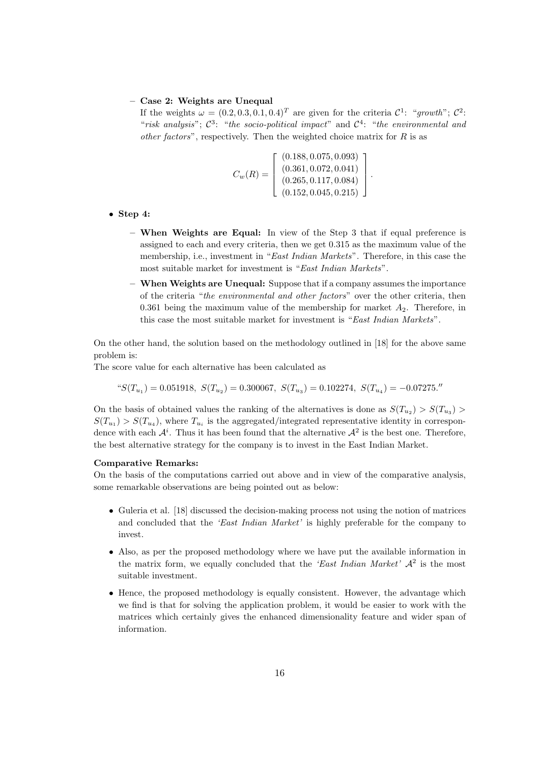### **– Case 2: Weights are Unequal**

If the weights  $\omega = (0.2, 0.3, 0.1, 0.4)^T$  are given for the criteria  $\mathcal{C}^1$ : "*growth*";  $\mathcal{C}^2$ : "*risk analysis*";  $C^3$ : "*the socio-political impact*" and  $C^4$ : "*the environmental and other factors*", respectively. Then the weighted choice matrix for *R* is as

$$
C_w(R) = \begin{bmatrix} (0.188, 0.075, 0.093) \\ (0.361, 0.072, 0.041) \\ (0.265, 0.117, 0.084) \\ (0.152, 0.045, 0.215) \end{bmatrix}.
$$

- *•* **Step 4:**
	- **– When Weights are Equal:** In view of the Step 3 that if equal preference is assigned to each and every criteria, then we get 0*.*315 as the maximum value of the membership, i.e., investment in "*East Indian Markets*". Therefore, in this case the most suitable market for investment is "*East Indian Markets*".
	- **– When Weights are Unequal:** Suppose that if a company assumes the importance of the criteria "*the environmental and other factors*" over the other criteria, then 0*.*361 being the maximum value of the membership for market *A*2. Therefore, in this case the most suitable market for investment is "*East Indian Markets*".

On the other hand, the solution based on the methodology outlined in [18] for the above same problem is:

The score value for each alternative has been calculated as

$$
^{\omega}S(T_{u_1})=0.051918,\; S(T_{u_2})=0.300067,\; S(T_{u_3})=0.102274,\; S(T_{u_4})=-0.07275.^{\prime\prime}
$$

On the basis of obtained values the ranking of the alternatives is done as  $S(T_{u_2}) > S(T_{u_3})$  $S(T_{u_1}) > S(T_{u_4})$ , where  $T_{u_i}$  is the aggregated/integrated representative identity in correspondence with each  $\mathcal{A}^i$ . Thus it has been found that the alternative  $\mathcal{A}^2$  is the best one. Therefore, the best alternative strategy for the company is to invest in the East Indian Market.

### **Comparative Remarks:**

On the basis of the computations carried out above and in view of the comparative analysis, some remarkable observations are being pointed out as below:

- Guleria et al. [18] discussed the decision-making process not using the notion of matrices and concluded that the *'East Indian Market'* is highly preferable for the company to invest.
- Also, as per the proposed methodology where we have put the available information in the matrix form, we equally concluded that the *'East Indian Market' A*<sup>2</sup> is the most suitable investment.
- Hence, the proposed methodology is equally consistent. However, the advantage which we find is that for solving the application problem, it would be easier to work with the matrices which certainly gives the enhanced dimensionality feature and wider span of information.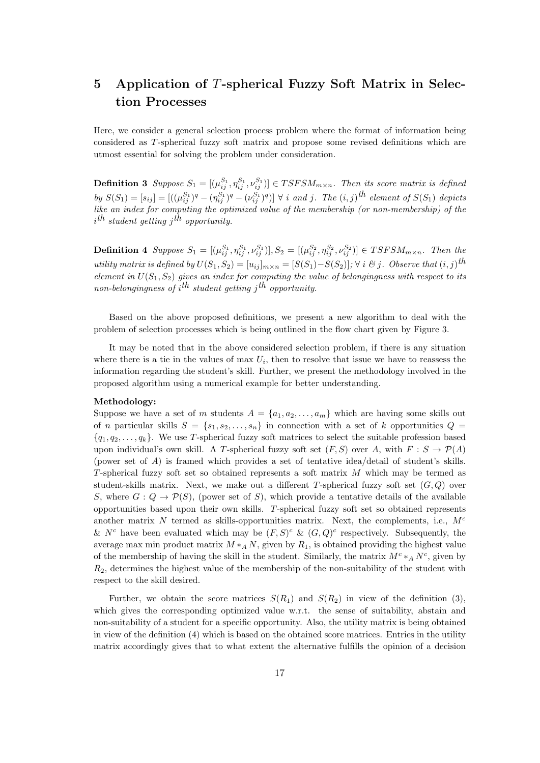# **5 Application of** *T***-spherical Fuzzy Soft Matrix in Selection Processes**

Here, we consider a general selection process problem where the format of information being considered as *T*-spherical fuzzy soft matrix and propose some revised definitions which are utmost essential for solving the problem under consideration.

**Definition 3** Suppose  $S_1 = [(\mu_{ij}^{S_1}, \eta_{ij}^{S_1}, \nu_{ij}^{S_1})] \in TSFSM_{m \times n}$ . Then its score matrix is defined by  $S(S_1) = [s_{ij}] = [((\mu_{ij}^{S_1})^q - (\eta_{ij}^{S_1})^q - (\nu_{ij}^{S_1})^q)] \ \forall \ i \ and \ j.$  The  $(i, j)$ <sup>th</sup> element of  $S(S_1)$  depicts *like an index for computing the optimized value of the membership (or non-membership) of the i th student getting j th opportunity.*

**Definition 4** Suppose  $S_1 = [(\mu_{ij}^{S_1}, \eta_{ij}^{S_1}, \nu_{ij}^{S_1})], S_2 = [(\mu_{ij}^{S_2}, \eta_{ij}^{S_2}, \nu_{ij}^{S_2})] \in TSFSM_{m \times n}$ . Then the utility matrix is defined by  $U(S_1, S_2) = [u_{ij}]_{m \times n} = [S(S_1) - S(S_2)]; \forall i \& j.$  Observe that  $(i, j)$ <sup>th</sup> *element in*  $U(S_1, S_2)$  *gives an index for computing the value of belongingness with respect to its non-belongingness of i th student getting j th opportunity.*

Based on the above proposed definitions, we present a new algorithm to deal with the problem of selection processes which is being outlined in the flow chart given by Figure 3.

It may be noted that in the above considered selection problem, if there is any situation where there is a tie in the values of max  $U_i$ , then to resolve that issue we have to reassess the information regarding the student's skill. Further, we present the methodology involved in the proposed algorithm using a numerical example for better understanding.

### **Methodology:**

Suppose we have a set of *m* students  $A = \{a_1, a_2, \ldots, a_m\}$  which are having some skills out of *n* particular skills  $S = \{s_1, s_2, \ldots, s_n\}$  in connection with a set of *k* opportunities  $Q =$  ${q_1, q_2, \ldots, q_k}$ . We use *T*-spherical fuzzy soft matrices to select the suitable profession based upon individual's own skill. A *T*-spherical fuzzy soft set  $(F, S)$  over *A*, with  $F : S \to \mathcal{P}(A)$ (power set of *A*) is framed which provides a set of tentative idea/detail of student's skills. *T*-spherical fuzzy soft set so obtained represents a soft matrix *M* which may be termed as student-skills matrix. Next, we make out a different *T*-spherical fuzzy soft set (*G, Q*) over *S*, where  $G: Q \to \mathcal{P}(S)$ , (power set of *S*), which provide a tentative details of the available opportunities based upon their own skills. *T*-spherical fuzzy soft set so obtained represents another matrix *N* termed as skills-opportunities matrix. Next, the complements, i.e., *M<sup>c</sup>* &  $N^c$  have been evaluated which may be  $(F, S)^c$  &  $(G, Q)^c$  respectively. Subsequently, the average max min product matrix  $M *_A N$ , given by  $R_1$ , is obtained providing the highest value of the membership of having the skill in the student. Similarly, the matrix  $M^c * _A N^c$ , given by *R*2, determines the highest value of the membership of the non-suitability of the student with respect to the skill desired.

Further, we obtain the score matrices  $S(R_1)$  and  $S(R_2)$  in view of the definition (3), which gives the corresponding optimized value w.r.t. the sense of suitability, abstain and non-suitability of a student for a specific opportunity. Also, the utility matrix is being obtained in view of the definition (4) which is based on the obtained score matrices. Entries in the utility matrix accordingly gives that to what extent the alternative fulfills the opinion of a decision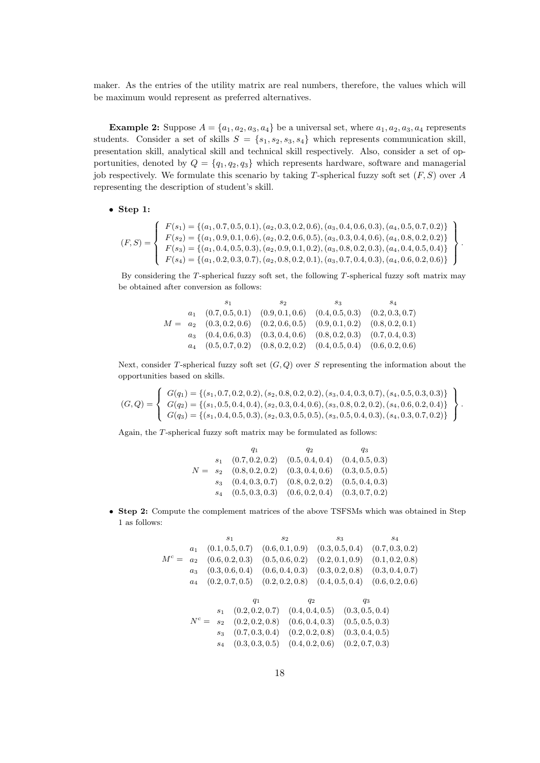maker. As the entries of the utility matrix are real numbers, therefore, the values which will be maximum would represent as preferred alternatives.

**Example 2:** Suppose  $A = \{a_1, a_2, a_3, a_4\}$  be a universal set, where  $a_1, a_2, a_3, a_4$  represents students. Consider a set of skills  $S = \{s_1, s_2, s_3, s_4\}$  which represents communication skill, presentation skill, analytical skill and technical skill respectively. Also, consider a set of opportunities, denoted by  $Q = \{q_1, q_2, q_3\}$  which represents hardware, software and managerial job respectively. We formulate this scenario by taking *T*-spherical fuzzy soft set (*F, S*) over *A* representing the description of student's skill.

### *•* **Step 1:**

$$
(F,S) = \left\{\n\begin{array}{l}\nF(s_1) = \{(a_1, 0.7, 0.5, 0.1), (a_2, 0.3, 0.2, 0.6), (a_3, 0.4, 0.6, 0.3), (a_4, 0.5, 0.7, 0.2)\} \\
F(s_2) = \{(a_1, 0.9, 0.1, 0.6), (a_2, 0.2, 0.6, 0.5), (a_3, 0.3, 0.4, 0.6), (a_4, 0.8, 0.2, 0.2)\} \\
F(s_3) = \{(a_1, 0.4, 0.5, 0.3), (a_2, 0.9, 0.1, 0.2), (a_3, 0.8, 0.2, 0.3), (a_4, 0.4, 0.5, 0.4)\} \\
F(s_4) = \{(a_1, 0.2, 0.3, 0.7), (a_2, 0.8, 0.2, 0.1), (a_3, 0.7, 0.4, 0.3), (a_4, 0.6, 0.2, 0.6)\}\n\end{array}\n\right\}.
$$

By considering the *T*-spherical fuzzy soft set, the following *T*-spherical fuzzy soft matrix may be obtained after conversion as follows:

|  | 81                                                                                | 82 | $S_3$ | $^{S4}$ |
|--|-----------------------------------------------------------------------------------|----|-------|---------|
|  | $a_1$ $(0.7, 0.5, 0.1)$ $(0.9, 0.1, 0.6)$ $(0.4, 0.5, 0.3)$ $(0.2, 0.3, 0.7)$     |    |       |         |
|  | $M = a_2$ $(0.3, 0.2, 0.6)$ $(0.2, 0.6, 0.5)$ $(0.9, 0.1, 0.2)$ $(0.8, 0.2, 0.1)$ |    |       |         |
|  | $a_3$ $(0.4, 0.6, 0.3)$ $(0.3, 0.4, 0.6)$ $(0.8, 0.2, 0.3)$ $(0.7, 0.4, 0.3)$     |    |       |         |
|  | $a_4$ $(0.5, 0.7, 0.2)$ $(0.8, 0.2, 0.2)$ $(0.4, 0.5, 0.4)$ $(0.6, 0.2, 0.6)$     |    |       |         |

Next, consider *T*-spherical fuzzy soft set (*G, Q*) over *S* representing the information about the opportunities based on skills.

$$
(G,Q) = \left\{\n\begin{array}{l}\nG(q_1) = \{(s_1, 0.7, 0.2, 0.2), (s_2, 0.8, 0.2, 0.2), (s_3, 0.4, 0.3, 0.7), (s_4, 0.5, 0.3, 0.3)\} \\
G(q_2) = \{(s_1, 0.5, 0.4, 0.4), (s_2, 0.3, 0.4, 0.6), (s_3, 0.8, 0.2, 0.2), (s_4, 0.6, 0.2, 0.4)\} \\
G(q_3) = \{(s_1, 0.4, 0.5, 0.3), (s_2, 0.3, 0.5, 0.5), (s_3, 0.5, 0.4, 0.3), (s_4, 0.3, 0.7, 0.2)\}\n\end{array}\n\right\}.
$$

Again, the *T*-spherical fuzzy soft matrix may be formulated as follows:

|  |                                 | Q2                                  | qз              |
|--|---------------------------------|-------------------------------------|-----------------|
|  | $s_1$ $(0.7, 0.2, 0.2)$         | $(0.5, 0.4, 0.4)$ $(0.4, 0.5, 0.3)$ |                 |
|  | $N = s_2 \quad (0.8, 0.2, 0.2)$ | (0.3, 0.4, 0.6)                     | (0.3, 0.5, 0.5) |
|  | $s_3$ $(0.4, 0.3, 0.7)$         | $(0.8, 0.2, 0.2)$ $(0.5, 0.4, 0.3)$ |                 |
|  | $s_4$ $(0.5, 0.3, 0.3)$         | $(0.6, 0.2, 0.4)$ $(0.3, 0.7, 0.2)$ |                 |

*•* **Step 2:** Compute the complement matrices of the above TSFSMs which was obtained in Step 1 as follows:

$$
M^{c} = \begin{array}{cccccc}\ns_{1} & s_{2} & s_{3} & s_{4} \\
a_{1} & (0.1, 0.5, 0.7) & (0.6, 0.1, 0.9) & (0.3, 0.5, 0.4) & (0.7, 0.3, 0.2) \\
M^{c} = a_{2} & (0.6, 0.2, 0.3) & (0.5, 0.6, 0.2) & (0.2, 0.1, 0.9) & (0.1, 0.2, 0.8) \\
a_{3} & (0.3, 0.6, 0.4) & (0.6, 0.4, 0.3) & (0.3, 0.2, 0.8) & (0.3, 0.4, 0.7) \\
a_{4} & (0.2, 0.7, 0.5) & (0.2, 0.2, 0.8) & (0.4, 0.5, 0.4) & (0.6, 0.2, 0.6) \\
a_{5} & s_{1} & (0.2, 0.2, 0.7) & (0.4, 0.4, 0.5) & (0.3, 0.5, 0.4) \\
N^{c} = s_{2} & (0.2, 0.2, 0.8) & (0.6, 0.4, 0.3) & (0.5, 0.5, 0.3) \\
s_{3} & (0.7, 0.3, 0.4) & (0.2, 0.2, 0.8) & (0.3, 0.4, 0.5) \\
s_{4} & (0.3, 0.3, 0.5) & (0.4, 0.2, 0.6) & (0.2, 0.7, 0.3)\n\end{array}
$$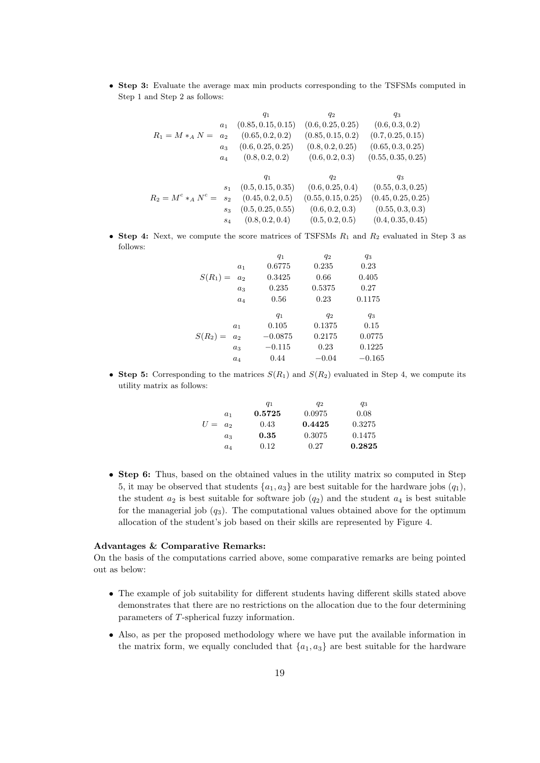*•* **Step 3:** Evaluate the average max min products corresponding to the TSFSMs computed in Step 1 and Step 2 as follows:

| $q_1$                   | $q_2$               | $q_3$                |                      |                      |
|-------------------------|---------------------|----------------------|----------------------|----------------------|
| $R_1 = M *_{A} N =$     | $a_2$               | $(0.85, 0.15, 0.15)$ | $(0.6, 0.25, 0.25)$  | $(0.6, 0.3, 0.2)$    |
| $a_3$                   | $(0.6, 0.25, 0.2)$  | $(0.85, 0.15, 0.2)$  | $(0.7, 0.25, 0.15)$  |                      |
| $a_3$                   | $(0.6, 0.25, 0.25)$ | $(0.8, 0.2, 0.25)$   | $(0.65, 0.3, 0.25)$  |                      |
| $a_4$                   | $(0.8, 0.2, 0.2)$   | $(0.6, 0.2, 0.3)$    | $(0.55, 0.35, 0.25)$ |                      |
| $q_1$                   | $q_2$               | $q_3$                |                      |                      |
| $s_1$                   | $(0.5, 0.15, 0.35)$ | $(0.6, 0.25, 0.4)$   | $(0.55, 0.3, 0.25)$  |                      |
| $R_2 = M^c *_{A} N^c =$ | $s_2$               | $(0.45, 0.2, 0.5)$   | $(0.55, 0.15, 0.25)$ | $(0.45, 0.25, 0.25)$ |
| $s_3$                   | $(0.5, 0.25, 0.55)$ | $(0.6, 0.2, 0.3)$    | <                    |                      |

*•* **Step 4:** Next, we compute the score matrices of TSFSMs *R*<sup>1</sup> and *R*<sup>2</sup> evaluated in Step 3 as follows:

|            |                | q <sub>1</sub> | $q_2$   | $q_3$      |
|------------|----------------|----------------|---------|------------|
|            | a <sub>1</sub> | 0.6775         | 0.235   | 0.23       |
| $S(R_1) =$ | a <sub>2</sub> | 0.3425         | 0.66    | 0.405      |
|            | $a_3$          | 0.235          | 0.5375  | 0.27       |
|            | $a_4$          | 0.56           | 0.23    | 0.1175     |
|            |                | $q_1$          | $q_2$   | $q_3$      |
|            | $a_1$          | 0.105          | 0.1375  | 0.15       |
| $S(R_2) =$ | a <sub>2</sub> | $-0.0875$      | 0.2175  | 0.0775     |
|            | $a_3$          | $-0.115$       | 0.23    | 0.1225     |
|            | $a_4$          | 0.44           | $-0.04$ | $-0.165\,$ |
|            |                |                |         |            |

• **Step 5:** Corresponding to the matrices  $S(R_1)$  and  $S(R_2)$  evaluated in Step 4, we compute its utility matrix as follows:

|           |       | $q_1$  | $q_2$  | $q_3$  |
|-----------|-------|--------|--------|--------|
|           | $a_1$ | 0.5725 | 0.0975 | 0.08   |
| $U = a_2$ |       | 0.43   | 0.4425 | 0.3275 |
|           | $a_3$ | 0.35   | 0.3075 | 0.1475 |
|           | $a_4$ | 0.12   | 0.27   | 0.2825 |

• **Step 6:** Thus, based on the obtained values in the utility matrix so computed in Step 5, it may be observed that students  $\{a_1, a_3\}$  are best suitable for the hardware jobs  $(q_1)$ , the student  $a_2$  is best suitable for software job  $(q_2)$  and the student  $a_4$  is best suitable for the managerial job  $(q_3)$ . The computational values obtained above for the optimum allocation of the student's job based on their skills are represented by Figure 4.

#### **Advantages & Comparative Remarks:**

On the basis of the computations carried above, some comparative remarks are being pointed out as below:

- *•* The example of job suitability for different students having different skills stated above demonstrates that there are no restrictions on the allocation due to the four determining parameters of *T*-spherical fuzzy information.
- Also, as per the proposed methodology where we have put the available information in the matrix form, we equally concluded that  ${a_1, a_3}$  are best suitable for the hardware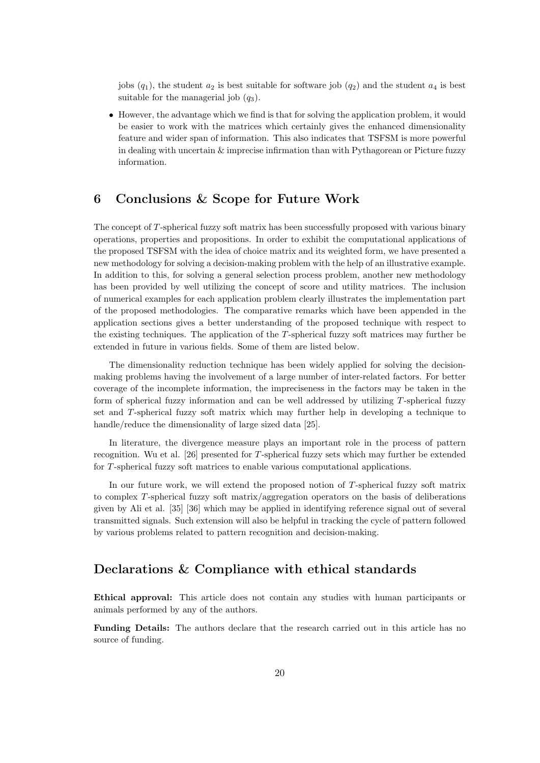jobs  $(q_1)$ , the student  $a_2$  is best suitable for software job  $(q_2)$  and the student  $a_4$  is best suitable for the managerial job  $(q_3)$ .

• However, the advantage which we find is that for solving the application problem, it would be easier to work with the matrices which certainly gives the enhanced dimensionality feature and wider span of information. This also indicates that TSFSM is more powerful in dealing with uncertain & imprecise infirmation than with Pythagorean or Picture fuzzy information.

## **6 Conclusions & Scope for Future Work**

The concept of *T*-spherical fuzzy soft matrix has been successfully proposed with various binary operations, properties and propositions. In order to exhibit the computational applications of the proposed TSFSM with the idea of choice matrix and its weighted form, we have presented a new methodology for solving a decision-making problem with the help of an illustrative example. In addition to this, for solving a general selection process problem, another new methodology has been provided by well utilizing the concept of score and utility matrices. The inclusion of numerical examples for each application problem clearly illustrates the implementation part of the proposed methodologies. The comparative remarks which have been appended in the application sections gives a better understanding of the proposed technique with respect to the existing techniques. The application of the *T*-spherical fuzzy soft matrices may further be extended in future in various fields. Some of them are listed below.

The dimensionality reduction technique has been widely applied for solving the decisionmaking problems having the involvement of a large number of inter-related factors. For better coverage of the incomplete information, the impreciseness in the factors may be taken in the form of spherical fuzzy information and can be well addressed by utilizing *T*-spherical fuzzy set and *T*-spherical fuzzy soft matrix which may further help in developing a technique to handle/reduce the dimensionality of large sized data [25].

In literature, the divergence measure plays an important role in the process of pattern recognition. Wu et al. [26] presented for *T*-spherical fuzzy sets which may further be extended for *T*-spherical fuzzy soft matrices to enable various computational applications.

In our future work, we will extend the proposed notion of *T*-spherical fuzzy soft matrix to complex *T*-spherical fuzzy soft matrix/aggregation operators on the basis of deliberations given by Ali et al. [35] [36] which may be applied in identifying reference signal out of several transmitted signals. Such extension will also be helpful in tracking the cycle of pattern followed by various problems related to pattern recognition and decision-making.

## **Declarations & Compliance with ethical standards**

**Ethical approval:** This article does not contain any studies with human participants or animals performed by any of the authors.

**Funding Details:** The authors declare that the research carried out in this article has no source of funding.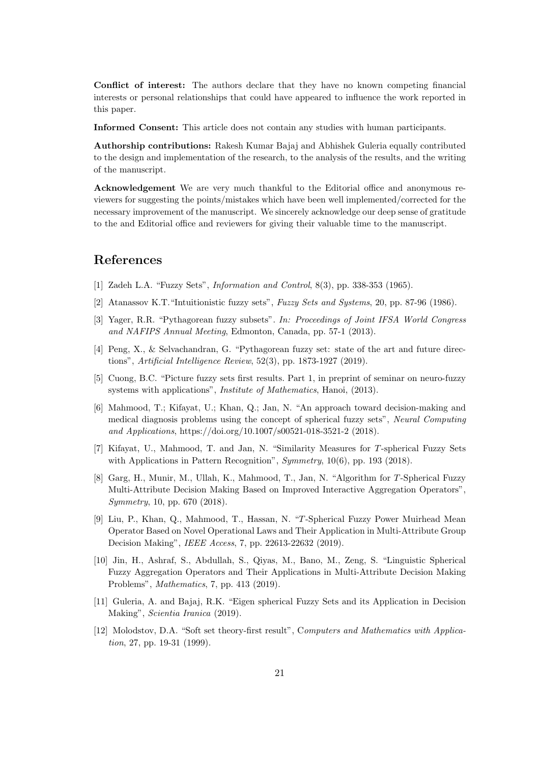**Conflict of interest:** The authors declare that they have no known competing financial interests or personal relationships that could have appeared to influence the work reported in this paper.

**Informed Consent:** This article does not contain any studies with human participants.

**Authorship contributions:** Rakesh Kumar Bajaj and Abhishek Guleria equally contributed to the design and implementation of the research, to the analysis of the results, and the writing of the manuscript.

**Acknowledgement** We are very much thankful to the Editorial office and anonymous reviewers for suggesting the points/mistakes which have been well implemented/corrected for the necessary improvement of the manuscript. We sincerely acknowledge our deep sense of gratitude to the and Editorial office and reviewers for giving their valuable time to the manuscript.

# **References**

- [1] Zadeh L.A. "Fuzzy Sets", *Information and Control*, 8(3), pp. 338-353 (1965).
- [2] Atanassov K.T."Intuitionistic fuzzy sets", *Fuzzy Sets and Systems*, 20, pp. 87-96 (1986).
- [3] Yager, R.R. "Pythagorean fuzzy subsets". *In: Proceedings of Joint IFSA World Congress and NAFIPS Annual Meeting*, Edmonton, Canada, pp. 57-1 (2013).
- [4] Peng, X., & Selvachandran, G. "Pythagorean fuzzy set: state of the art and future directions", *Artificial Intelligence Review*, 52(3), pp. 1873-1927 (2019).
- [5] Cuong, B.C. "Picture fuzzy sets first results. Part 1, in preprint of seminar on neuro-fuzzy systems with applications", *Institute of Mathematics*, Hanoi, (2013).
- [6] Mahmood, T.; Kifayat, U.; Khan, Q.; Jan, N. "An approach toward decision-making and medical diagnosis problems using the concept of spherical fuzzy sets", *Neural Computing and Applications*, https://doi.org/10.1007/s00521-018-3521-2 (2018).
- [7] Kifayat, U., Mahmood, T. and Jan, N. "Similarity Measures for *T*-spherical Fuzzy Sets with Applications in Pattern Recognition", *Symmetry*, 10(6), pp. 193 (2018).
- [8] Garg, H., Munir, M., Ullah, K., Mahmood, T., Jan, N. "Algorithm for *T*-Spherical Fuzzy Multi-Attribute Decision Making Based on Improved Interactive Aggregation Operators", *Symmetry*, 10, pp. 670 (2018).
- [9] Liu, P., Khan, Q., Mahmood, T., Hassan, N. "*T*-Spherical Fuzzy Power Muirhead Mean Operator Based on Novel Operational Laws and Their Application in Multi-Attribute Group Decision Making", *IEEE Access*, 7, pp. 22613-22632 (2019).
- [10] Jin, H., Ashraf, S., Abdullah, S., Qiyas, M., Bano, M., Zeng, S. "Linguistic Spherical Fuzzy Aggregation Operators and Their Applications in Multi-Attribute Decision Making Problems", *Mathematics*, 7, pp. 413 (2019).
- [11] Guleria, A. and Bajaj, R.K. "Eigen spherical Fuzzy Sets and its Application in Decision Making", *Scientia Iranica* (2019).
- [12] Molodstov, D.A. "Soft set theory-first result", C*omputers and Mathematics with Application*, 27, pp. 19-31 (1999).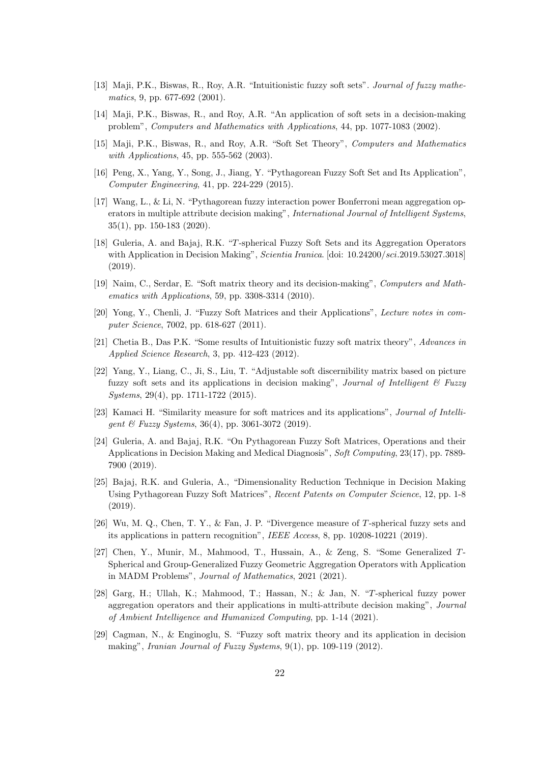- [13] Maji, P.K., Biswas, R., Roy, A.R. "Intuitionistic fuzzy soft sets". *Journal of fuzzy mathematics*, 9, pp. 677-692 (2001).
- [14] Maji, P.K., Biswas, R., and Roy, A.R. "An application of soft sets in a decision-making problem", *Computers and Mathematics with Applications*, 44, pp. 1077-1083 (2002).
- [15] Maji, P.K., Biswas, R., and Roy, A.R. "Soft Set Theory", *Computers and Mathematics with Applications*, 45, pp. 555-562 (2003).
- [16] Peng, X., Yang, Y., Song, J., Jiang, Y. "Pythagorean Fuzzy Soft Set and Its Application", *Computer Engineering*, 41, pp. 224-229 (2015).
- [17] Wang, L., & Li, N. "Pythagorean fuzzy interaction power Bonferroni mean aggregation operators in multiple attribute decision making", *International Journal of Intelligent Systems*, 35(1), pp. 150-183 (2020).
- [18] Guleria, A. and Bajaj, R.K. "*T*-spherical Fuzzy Soft Sets and its Aggregation Operators with Application in Decision Making", *Scientia Iranica*. [doi: 10*.*24200*/sci.*2019*.*53027*.*3018] (2019).
- [19] Naim, C., Serdar, E. "Soft matrix theory and its decision-making", *Computers and Mathematics with Applications*, 59, pp. 3308-3314 (2010).
- [20] Yong, Y., Chenli, J. "Fuzzy Soft Matrices and their Applications", *Lecture notes in computer Science*, 7002, pp. 618-627 (2011).
- [21] Chetia B., Das P.K. "Some results of Intuitionistic fuzzy soft matrix theory", *Advances in Applied Science Research*, 3, pp. 412-423 (2012).
- [22] Yang, Y., Liang, C., Ji, S., Liu, T. "Adjustable soft discernibility matrix based on picture fuzzy soft sets and its applications in decision making", *Journal of Intelligent & Fuzzy Systems*, 29(4), pp. 1711-1722 (2015).
- [23] Kamaci H. "Similarity measure for soft matrices and its applications", *Journal of Intelligent & Fuzzy Systems*, 36(4), pp. 3061-3072 (2019).
- [24] Guleria, A. and Bajaj, R.K. "On Pythagorean Fuzzy Soft Matrices, Operations and their Applications in Decision Making and Medical Diagnosis", *Soft Computing*, 23(17), pp. 7889- 7900 (2019).
- [25] Bajaj, R.K. and Guleria, A., "Dimensionality Reduction Technique in Decision Making Using Pythagorean Fuzzy Soft Matrices", *Recent Patents on Computer Science*, 12, pp. 1-8 (2019).
- [26] Wu, M. Q., Chen, T. Y., & Fan, J. P. "Divergence measure of *T*-spherical fuzzy sets and its applications in pattern recognition", *IEEE Access*, 8, pp. 10208-10221 (2019).
- [27] Chen, Y., Munir, M., Mahmood, T., Hussain, A., & Zeng, S. "Some Generalized *T*-Spherical and Group-Generalized Fuzzy Geometric Aggregation Operators with Application in MADM Problems", *Journal of Mathematics*, 2021 (2021).
- [28] Garg, H.; Ullah, K.; Mahmood, T.; Hassan, N.; & Jan, N. "*T*-spherical fuzzy power aggregation operators and their applications in multi-attribute decision making", *Journal of Ambient Intelligence and Humanized Computing*, pp. 1-14 (2021).
- [29] Cagman, N., & Enginoglu, S. "Fuzzy soft matrix theory and its application in decision making", *Iranian Journal of Fuzzy Systems*, 9(1), pp. 109-119 (2012).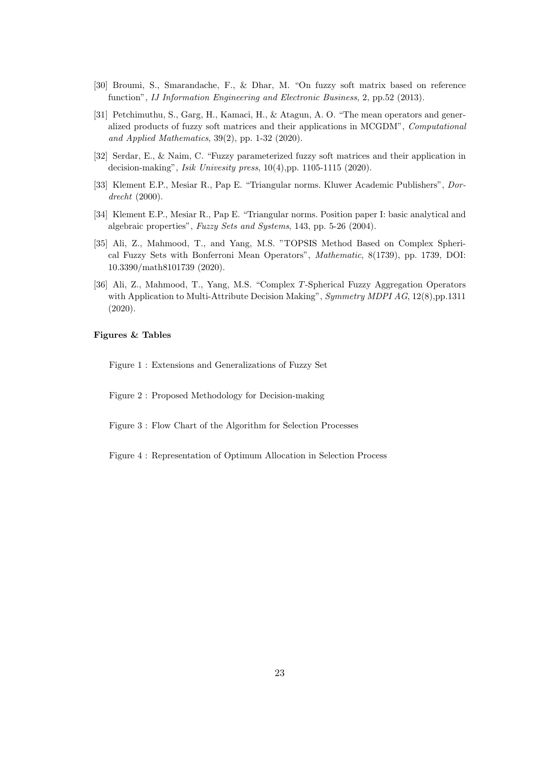- [30] Broumi, S., Smarandache, F., & Dhar, M. "On fuzzy soft matrix based on reference function", *IJ Information Engineering and Electronic Business*, 2, pp.52 (2013).
- [31] Petchimuthu, S., Garg, H., Kamaci, H., & Atagun, A. O. "The mean operators and generalized products of fuzzy soft matrices and their applications in MCGDM", *Computational and Applied Mathematics*, 39(2), pp. 1-32 (2020).
- [32] Serdar, E., & Naim, C. "Fuzzy parameterized fuzzy soft matrices and their application in decision-making", *Isik Univesity press*, 10(4),pp. 1105-1115 (2020).
- [33] Klement E.P., Mesiar R., Pap E. "Triangular norms. Kluwer Academic Publishers", *Dordrecht* (2000).
- [34] Klement E.P., Mesiar R., Pap E. "Triangular norms. Position paper I: basic analytical and algebraic properties", *Fuzzy Sets and Systems*, 143, pp. 5-26 (2004).
- [35] Ali, Z., Mahmood, T., and Yang, M.S. "TOPSIS Method Based on Complex Spherical Fuzzy Sets with Bonferroni Mean Operators", *Mathematic*, 8(1739), pp. 1739, DOI: 10.3390/math8101739 (2020).
- [36] Ali, Z., Mahmood, T., Yang, M.S. "Complex *T*-Spherical Fuzzy Aggregation Operators with Application to Multi-Attribute Decision Making", *Symmetry MDPI AG*, 12(8),pp.1311 (2020).

### **Figures & Tables**

Figure 1 : Extensions and Generalizations of Fuzzy Set

Figure 2 : Proposed Methodology for Decision-making

- Figure 3 : Flow Chart of the Algorithm for Selection Processes
- Figure 4 : Representation of Optimum Allocation in Selection Process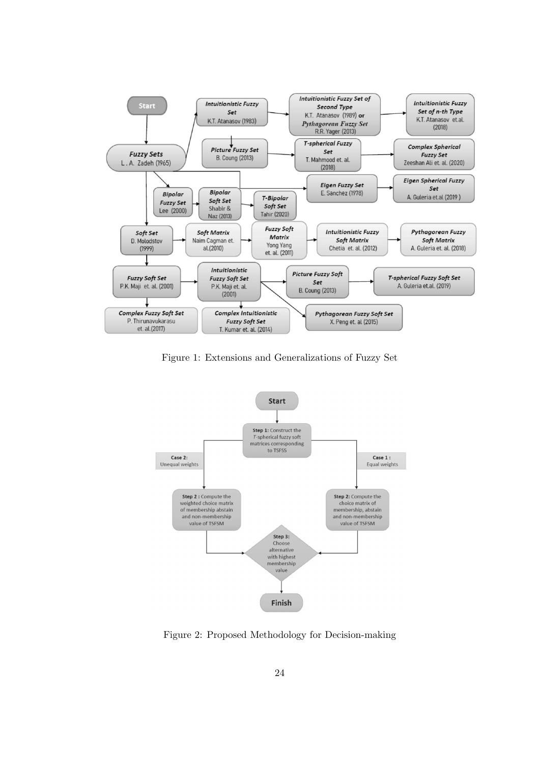

Figure 1: Extensions and Generalizations of Fuzzy Set



Figure 2: Proposed Methodology for Decision-making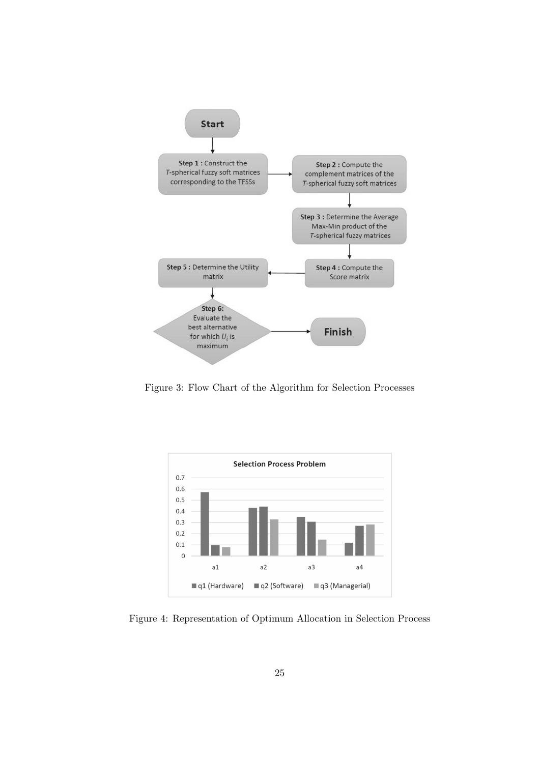

Figure 3: Flow Chart of the Algorithm for Selection Processes



Figure 4: Representation of Optimum Allocation in Selection Process